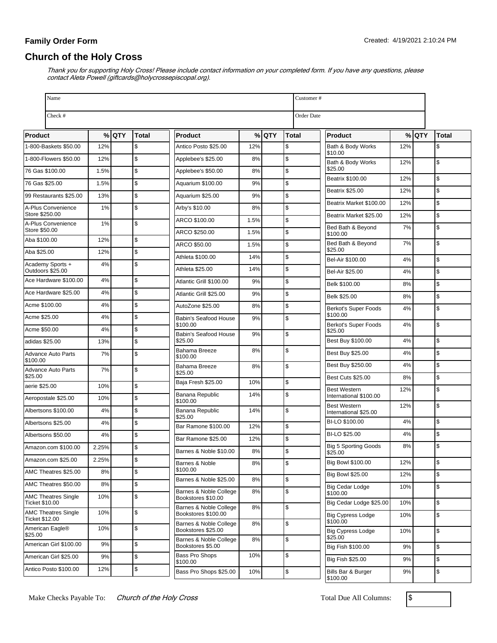# **Church of the Holy Cross**

| Name                                                |       |         |               |                                               |      |         |               | Customer#                                     |     |         |              |
|-----------------------------------------------------|-------|---------|---------------|-----------------------------------------------|------|---------|---------------|-----------------------------------------------|-----|---------|--------------|
| Check #                                             |       |         |               |                                               |      |         |               | Order Date                                    |     |         |              |
| <b>Product</b>                                      |       | $%$ QTY | Total         | <b>Product</b>                                |      | $%$ QTY | Total         | <b>Product</b>                                |     | $%$ QTY | <b>Total</b> |
| 1-800-Baskets \$50.00                               | 12%   |         | \$            | Antico Posto \$25.00                          | 12%  |         | \$            | Bath & Body Works                             | 12% |         | \$           |
| 1-800-Flowers \$50.00                               | 12%   |         | $\mathsf{\$}$ | Applebee's \$25.00                            | 8%   |         | \$            | \$10.00<br>Bath & Body Works                  | 12% |         | \$           |
| 76 Gas \$100.00                                     | 1.5%  |         | $\mathsf{\$}$ | Applebee's \$50.00                            | 8%   |         | $\mathsf{\$}$ | \$25.00                                       |     |         |              |
| 76 Gas \$25.00                                      | 1.5%  |         | $\mathsf{\$}$ | Aquarium \$100.00                             | 9%   |         | $\mathsf{\$}$ | Beatrix \$100.00                              | 12% |         | \$           |
| 99 Restaurants \$25.00                              | 13%   |         | $\mathsf{\$}$ | Aquarium \$25.00                              | 9%   |         | $\mathsf{\$}$ | <b>Beatrix \$25.00</b>                        | 12% |         | \$           |
| A-Plus Convenience                                  | 1%    |         | $\mathsf{\$}$ | Arby's \$10.00                                | 8%   |         | $\mathsf{\$}$ | Beatrix Market \$100.00                       | 12% |         | \$           |
| Store \$250.00<br>A-Plus Convenience                | 1%    |         | $\mathfrak s$ | ARCO \$100.00                                 | 1.5% |         | \$            | Beatrix Market \$25.00                        | 12% |         | \$           |
| Store \$50.00                                       |       |         |               | ARCO \$250.00                                 | 1.5% |         | \$            | Bed Bath & Beyond<br>\$100.00                 | 7%  |         | \$           |
| Aba \$100.00                                        | 12%   |         | $\sqrt{2}$    | ARCO \$50.00                                  | 1.5% |         | \$            | Bed Bath & Beyond                             | 7%  |         | \$           |
| Aba \$25.00                                         | 12%   |         | $\sqrt{3}$    | Athleta \$100.00                              | 14%  |         | \$            | \$25.00<br>Bel-Air \$100.00                   | 4%  |         | \$           |
| Academy Sports +<br>Outdoors \$25.00                | 4%    |         | $\mathsf{\$}$ | Athleta \$25.00                               | 14%  |         | \$            | Bel-Air \$25.00                               | 4%  |         | \$           |
| Ace Hardware \$100.00                               | 4%    |         | $\mathsf{\$}$ | Atlantic Grill \$100.00                       | 9%   |         | $\mathsf{\$}$ | Belk \$100.00                                 | 8%  |         | \$           |
| Ace Hardware \$25.00                                | 4%    |         | $\mathsf{\$}$ | Atlantic Grill \$25.00                        | 9%   |         | \$            | Belk \$25.00                                  | 8%  |         | \$           |
| Acme \$100.00                                       | 4%    |         | $\mathsf{\$}$ | AutoZone \$25.00                              | 8%   |         | \$            | Berkot's Super Foods                          | 4%  |         | \$           |
| Acme \$25.00                                        | 4%    |         | $\mathsf{\$}$ | Babin's Seafood House                         | 9%   |         | \$            | \$100.00                                      |     |         |              |
| Acme \$50.00                                        | 4%    |         | $\mathsf{\$}$ | \$100.00<br>Babin's Seafood House             | 9%   |         | $\sqrt{2}$    | Berkot's Super Foods<br>\$25.00               | 4%  |         | \$           |
| adidas \$25.00                                      | 13%   |         | $\mathsf{\$}$ | \$25.00                                       |      |         |               | Best Buy \$100.00                             | 4%  |         | \$           |
| <b>Advance Auto Parts</b>                           | 7%    |         | $\mathsf{\$}$ | Bahama Breeze<br>\$100.00                     | 8%   |         | \$            | Best Buy \$25.00                              | 4%  |         | \$           |
| \$100.00<br>Advance Auto Parts                      | 7%    |         | $\mathsf{\$}$ | Bahama Breeze                                 | 8%   |         | \$            | Best Buy \$250.00                             | 4%  |         | \$           |
| \$25.00                                             |       |         |               | \$25.00<br>Baja Fresh \$25.00                 | 10%  |         | $\mathsf{\$}$ | <b>Best Cuts \$25.00</b>                      | 8%  |         | \$           |
| aerie \$25.00                                       | 10%   |         | $\sqrt{2}$    | Banana Republic                               | 14%  |         | \$            | <b>Best Western</b><br>International \$100.00 | 12% |         | \$           |
| Aeropostale \$25.00                                 | 10%   |         | $\sqrt{3}$    | \$100.00                                      |      |         |               | <b>Best Western</b>                           | 12% |         | \$           |
| Albertsons \$100.00                                 | 4%    |         | $\sqrt{2}$    | Banana Republic<br>\$25.00                    | 14%  |         | \$            | International \$25.00                         |     |         |              |
| Albertsons \$25.00                                  | 4%    |         | $\mathsf{\$}$ | Bar Ramone \$100.00                           | 12%  |         | \$            | BI-LO \$100.00                                | 4%  |         | \$           |
| Albertsons \$50.00                                  | 4%    |         | \$            | Bar Ramone \$25.00                            | 12%  |         | \$            | BI-LO \$25.00                                 | 4%  |         | \$           |
| Amazon.com \$100.00                                 | 2.25% |         | <b>S</b>      | Barnes & Noble \$10.00                        | 8%   |         | $\mathsf{\$}$ | <b>Big 5 Sporting Goods</b><br>\$25.00        | 8%  |         | \$           |
| Amazon.com \$25.00                                  | 2.25% |         | \$            | Barnes & Noble                                | 8%   |         | $\sqrt{2}$    | Big Bowl \$100.00                             | 12% |         | \$           |
| AMC Theatres \$25.00                                | 8%    |         | \$            | \$100.00<br>Barnes & Noble \$25.00            | 8%   |         | $\sqrt{2}$    | <b>Big Bowl \$25.00</b>                       | 12% |         | \$           |
| AMC Theatres \$50.00                                | 8%    |         | $\sqrt{2}$    | Barnes & Noble College                        | 8%   |         | \$            | Big Cedar Lodge<br>\$100.00                   | 10% |         | \$           |
| <b>AMC Theatres Single</b><br><b>Ticket \$10.00</b> | 10%   |         | \$            | Bookstores \$10.00                            |      |         |               | Big Cedar Lodge \$25.00                       | 10% |         | \$           |
| <b>AMC Theatres Single</b><br>Ticket \$12.00        | 10%   |         | \$            | Barnes & Noble College<br>Bookstores \$100.00 | 8%   |         | \$            | <b>Big Cypress Lodge</b><br>\$100.00          | 10% |         | \$           |
| American Eagle®<br>\$25.00                          | 10%   |         | \$            | Barnes & Noble College<br>Bookstores \$25.00  | 8%   |         | \$            | <b>Big Cypress Lodge</b>                      | 10% |         | \$           |
| American Girl \$100.00                              | 9%    |         | $\$$          | Barnes & Noble College<br>Bookstores \$5.00   | 8%   |         | \$            | \$25.00<br>Big Fish \$100.00                  | 9%  |         | \$           |
| American Girl \$25.00                               | 9%    |         | \$            | Bass Pro Shops                                | 10%  |         | \$            | Big Fish \$25.00                              | 9%  |         | \$           |
| Antico Posto \$100.00                               | 12%   |         | \$            | \$100.00<br>Bass Pro Shops \$25.00            | 10%  |         | \$            | Bills Bar & Burger                            | 9%  |         | \$           |

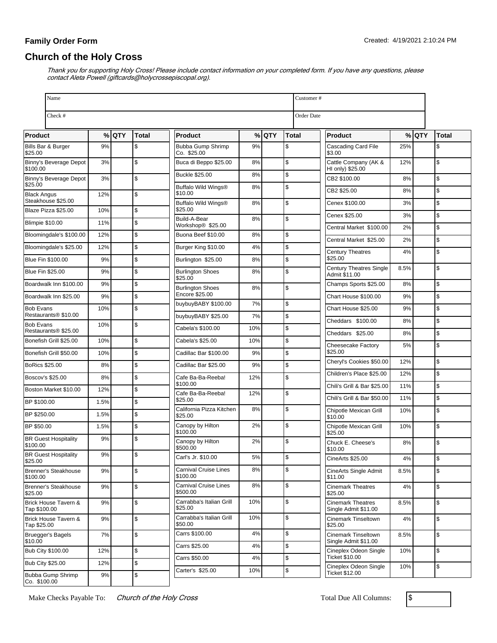# **Church of the Holy Cross**

Thank you for supporting Holy Cross! Please include contact information on your completed form. If you have any questions, please contact Aleta Powell (giftcards@holycrossepiscopal.org).

| Name<br>Customer#                         |             |         |               |                                     |           |         |              |                                                  |      |         |               |  |
|-------------------------------------------|-------------|---------|---------------|-------------------------------------|-----------|---------|--------------|--------------------------------------------------|------|---------|---------------|--|
| Check #                                   |             |         |               |                                     |           |         |              | Order Date                                       |      |         |               |  |
| Product                                   |             | $%$ QTY | Total         | <b>Product</b>                      |           | $%$ QTY | <b>Total</b> | <b>Product</b>                                   |      | $%$ QTY | Total         |  |
| Bills Bar & Burger<br>\$25.00             | 9%          |         | \$            | Bubba Gump Shrimp<br>Co. \$25.00    | 9%        |         | \$           | Cascading Card File<br>\$3.00                    | 25%  |         | \$            |  |
| Binny's Beverage Depot<br>\$100.00        | 3%          |         | \$            | Buca di Beppo \$25.00               | 8%        |         | \$           | Cattle Company (AK &<br>HI only) \$25.00         | 12%  |         | \$            |  |
| Binny's Beverage Depot                    | 3%          |         | \$            | <b>Buckle \$25.00</b>               | 8%        |         | \$           | CB2 \$100.00                                     | 8%   |         | \$            |  |
| \$25.00<br><b>Black Angus</b>             | 12%         |         | \$            | Buffalo Wild Wings®<br>\$10.00      | 8%        |         | \$           | CB2 \$25.00                                      | 8%   |         | \$            |  |
| Steakhouse \$25.00<br>Blaze Pizza \$25.00 | 10%         |         | \$            | Buffalo Wild Wings®<br>\$25.00      | 8%        |         | \$           | Cenex \$100.00                                   | 3%   |         | $\mathsf{\$}$ |  |
| <b>Blimpie \$10.00</b>                    | 11%         |         | $\mathsf{\$}$ | Build-A-Bear<br>Workshop® \$25.00   | 8%        |         | \$           | Cenex \$25.00                                    | 3%   |         | \$            |  |
| Bloomingdale's \$100.00                   | 12%         |         | \$            | Buona Beef \$10.00                  | 8%        |         | \$           | Central Market \$100.00                          | 2%   |         | $\mathsf{\$}$ |  |
| Bloomingdale's \$25.00                    | 12%         |         | \$            | Burger King \$10.00                 | 4%        |         | \$           | Central Market \$25.00                           | 2%   |         | \$            |  |
| Blue Fin \$100.00                         | 9%          |         | \$            | Burlington \$25.00                  | 8%        |         | \$           | <b>Century Theatres</b><br>\$25.00               | 4%   |         | \$            |  |
| <b>Blue Fin \$25.00</b>                   | 9%          |         | $\mathsf{\$}$ | <b>Burlington Shoes</b><br>\$25.00  | 8%        |         | \$           | <b>Century Theatres Single</b><br>Admit \$11.00  | 8.5% |         | \$            |  |
| Boardwalk Inn \$100.00                    | 9%          |         | $\mathsf{\$}$ | <b>Burlington Shoes</b>             | 8%        |         | \$           | Champs Sports \$25.00                            | 8%   |         | \$            |  |
| Boardwalk Inn \$25.00                     | 9%          |         | $\mathsf{\$}$ | Encore \$25.00                      |           |         |              | Chart House \$100.00                             | 9%   |         | \$            |  |
| <b>Bob Evans</b><br>Restaurants® \$10.00  | 10%         |         | \$            | buybuyBABY \$100.00                 | 7%        |         | \$           | Chart House \$25.00                              | 9%   |         | \$            |  |
| <b>Bob Evans</b>                          | 10%         |         | \$            | buybuyBABY \$25.00                  | 7%        |         | \$           | Cheddars \$100.00                                | 8%   |         | $\mathfrak s$ |  |
| Restaurants <sup>®</sup> \$25.00          |             |         |               | Cabela's \$100.00                   | 10%       |         | \$           | Cheddars \$25.00                                 | 8%   |         | \$            |  |
| Bonefish Grill \$25.00                    | 10%         |         | \$            | Cabela's \$25.00                    | 10%       |         | \$           | Cheesecake Factory<br>\$25.00                    | 5%   |         | \$            |  |
| Bonefish Grill \$50.00                    | 10%         |         | $\mathsf{\$}$ | Cadillac Bar \$100.00               | 9%        |         | \$           | Cheryl's Cookies \$50.00                         | 12%  |         | \$            |  |
| <b>BoRics \$25.00</b>                     | 8%          |         | $\mathsf{\$}$ | Cadillac Bar \$25.00                | 9%        |         | \$           | Children's Place \$25.00                         | 12%  |         | $\mathsf{\$}$ |  |
| Boscov's \$25.00                          | 8%          |         | \$            | Cafe Ba-Ba-Reeba!<br>\$100.00       | 12%       |         | \$           | Chili's Grill & Bar \$25.00                      | 11%  |         | \$            |  |
| Boston Market \$10.00<br>BP \$100.00      | 12%<br>1.5% |         | \$<br>\$      | Cafe Ba-Ba-Reeba!<br>\$25.00        | 12%       |         | \$           | Chili's Grill & Bar \$50.00                      | 11%  |         | \$            |  |
| BP \$250.00                               | 1.5%        |         | \$            | California Pizza Kitchen<br>\$25.00 | 8%        |         | \$           | Chipotle Mexican Grill                           | 10%  |         | \$            |  |
| BP \$50.00                                | 1.5%        |         | \$            | Canopy by Hilton                    | 2%        |         | \$           | \$10.00<br>Chipotle Mexican Grill                | 10%  |         | \$            |  |
| <b>BR Guest Hospitality</b><br>\$100.00   | 9%          |         | \$            | \$100.00<br>Canopy by Hilton        | 2%        |         | \$           | \$25.00<br>Chuck E. Cheese's                     | 8%   |         | \$            |  |
| <b>BR Guest Hospitality</b>               | $Q_0$       |         | ¢             | \$500.00<br>Carl's Jr. \$10.00      | 5%        |         | \$           | \$10.00<br>CineArts \$25.00                      | 4%   |         | $\frac{3}{2}$ |  |
| \$25.00<br><b>Brenner's Steakhouse</b>    | 9%          |         | \$            | <b>Carnival Cruise Lines</b>        | 8%        |         | \$           | CineArts Single Admit                            | 8.5% |         | \$            |  |
| \$100.00<br>Brenner's Steakhouse          | 9%          |         | $\sqrt{2}$    | \$100.00<br>Carnival Cruise Lines   | 8%        |         | \$           | \$11.00<br><b>Cinemark Theatres</b>              | 4%   |         | $\mathfrak s$ |  |
| \$25.00                                   |             |         |               | \$500.00                            |           |         |              | \$25.00                                          |      |         |               |  |
| Brick House Tavern &<br>Tap \$100.00      | $9\%$       |         | \$            | Carrabba's Italian Grill<br>\$25.00 | 10%       |         | \$           | <b>Cinemark Theatres</b><br>Single Admit \$11.00 | 8.5% |         | \$            |  |
| Brick House Tavern &<br>Tap \$25.00       | 9%          |         | $\sqrt{2}$    | Carrabba's Italian Grill<br>\$50.00 | 10%       |         | \$           | Cinemark Tinseltown<br>\$25.00                   | 4%   |         | $\mathfrak s$ |  |
| <b>Bruegger's Bagels</b><br>\$10.00       | 7%          |         | \$            | Carrs \$100.00                      | 4%        |         | \$           | Cinemark Tinseltown<br>Single Admit \$11.00      | 8.5% |         | $\mathsf{\$}$ |  |
| <b>Bub City \$100.00</b>                  | 12%         |         | $\sqrt{2}$    | Carrs \$25.00                       | 4%        |         | \$           | Cineplex Odeon Single<br>Ticket \$10.00          | 10%  |         | \$            |  |
| <b>Bub City \$25.00</b>                   | 12%         |         | $\mathsf{\$}$ | Carrs \$50.00<br>Carter's \$25.00   | 4%<br>10% |         | \$<br>\$     | Cineplex Odeon Single                            | 10%  |         | \$            |  |
| Bubba Gump Shrimp<br>Co. \$100.00         | $9\%$       |         | \$            |                                     |           |         |              | Ticket \$12.00                                   |      |         |               |  |

Make Checks Payable To: Church of the Holy Cross Total Due All Columns: \$

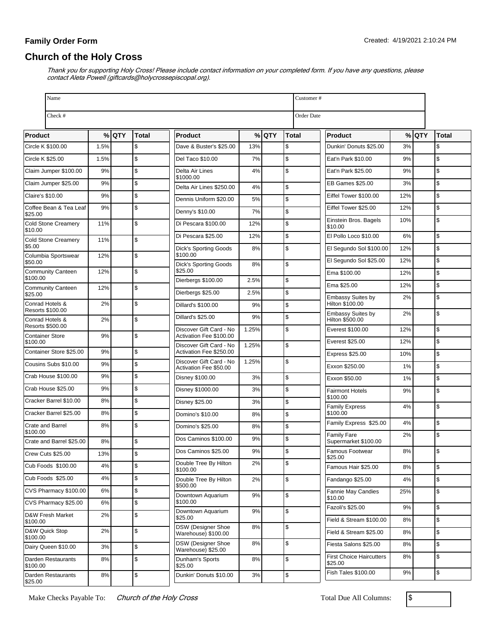# **Church of the Holy Cross**

Thank you for supporting Holy Cross! Please include contact information on your completed form. If you have any questions, please contact Aleta Powell (giftcards@holycrossepiscopal.org).

| Name                                  |      |         |               |                                                    |       |         |              | Customer#                                        |          |               |  |  |
|---------------------------------------|------|---------|---------------|----------------------------------------------------|-------|---------|--------------|--------------------------------------------------|----------|---------------|--|--|
| Check #                               |      |         |               |                                                    |       |         |              | <b>Order Date</b>                                |          |               |  |  |
| <b>Product</b>                        |      | $%$ QTY | <b>Total</b>  | <b>Product</b>                                     |       | $%$ QTY | <b>Total</b> | Product                                          | $%$ QTY  | <b>Total</b>  |  |  |
| Circle K \$100.00                     | 1.5% |         | \$            | Dave & Buster's \$25.00                            | 13%   |         | \$           | Dunkin' Donuts \$25.00                           | 3%       | \$            |  |  |
| Circle K \$25.00                      | 1.5% |         | $\mathsf{\$}$ | Del Taco \$10.00                                   | 7%    |         | \$           | Eat'n Park \$10.00                               | 9%       | \$            |  |  |
| Claim Jumper \$100.00                 | 9%   |         | $\mathsf{\$}$ | Delta Air Lines                                    | 4%    |         | \$           | Eat'n Park \$25.00                               | 9%       | $\mathsf{\$}$ |  |  |
| Claim Jumper \$25.00                  | 9%   |         | \$            | \$1000.00<br>Delta Air Lines \$250.00              | 4%    |         | \$           | EB Games \$25.00                                 | 3%       | \$            |  |  |
| <b>Claire's \$10.00</b>               | 9%   |         | \$            | Dennis Uniform \$20.00                             | 5%    |         | \$           | Eiffel Tower \$100.00<br>12%                     |          | \$            |  |  |
| Coffee Bean & Tea Leaf<br>\$25.00     | 9%   |         | \$            | Denny's \$10.00                                    | 7%    |         | \$           | Eiffel Tower \$25.00<br>12%                      |          | \$            |  |  |
| <b>Cold Stone Creamery</b>            | 11%  |         | $\mathsf{\$}$ | Di Pescara \$100.00                                | 12%   |         | \$           | 10%<br>Einstein Bros. Bagels<br>\$10.00          |          | \$            |  |  |
| \$10.00<br><b>Cold Stone Creamery</b> | 11%  |         | \$            | Di Pescara \$25.00                                 | 12%   |         | \$           | El Pollo Loco \$10.00                            | 6%       | \$            |  |  |
| \$5.00                                |      |         |               | <b>Dick's Sporting Goods</b>                       | 8%    |         | \$           | El Segundo Sol \$100.00<br>12%                   |          | \$            |  |  |
| Columbia Sportswear<br>\$50.00        | 12%  |         | \$            | \$100.00<br><b>Dick's Sporting Goods</b>           | 8%    |         | \$           | El Segundo Sol \$25.00<br>12%                    |          | \$            |  |  |
| <b>Community Canteen</b><br>\$100.00  | 12%  |         | \$            | \$25.00                                            |       |         |              | Ema \$100.00<br>12%                              |          | \$            |  |  |
| <b>Community Canteen</b>              | 12%  |         | \$            | Dierbergs \$100.00                                 | 2.5%  |         | \$           | Ema \$25.00<br>12%                               |          | \$            |  |  |
| \$25.00<br>Conrad Hotels &            | 2%   |         | \$            | Dierbergs \$25.00                                  | 2.5%  |         | \$           | Embassy Suites by<br>Hilton \$100.00             | 2%       | \$            |  |  |
| Resorts \$100.00                      |      |         |               | Dillard's \$100.00                                 | 9%    |         | \$           | Embassy Suites by                                | 2%       | \$            |  |  |
| Conrad Hotels &<br>Resorts \$500.00   | 2%   |         | \$            | <b>Dillard's \$25.00</b>                           | 9%    |         | \$           | Hilton \$500.00                                  |          |               |  |  |
| <b>Container Store</b>                | 9%   |         | $\mathsf{\$}$ | Discover Gift Card - No<br>Activation Fee \$100.00 | 1.25% |         | \$           | Everest \$100.00<br>12%                          |          | \$            |  |  |
| \$100.00<br>Container Store \$25.00   | 9%   |         | \$            | Discover Gift Card - No<br>Activation Fee \$250.00 | 1.25% |         | \$           | Everest \$25.00<br>12%<br>Express \$25.00<br>10% |          | \$<br>\$      |  |  |
| Cousins Subs \$10.00                  | 9%   |         | $\mathsf{\$}$ | Discover Gift Card - No                            | 1.25% |         | \$           | Exxon \$250.00                                   | 1%       | \$            |  |  |
| Crab House \$100.00                   | 9%   |         | \$            | Activation Fee \$50.00<br>Disney \$100.00          | 3%    |         | \$           | Exxon \$50.00                                    | 1%       | \$            |  |  |
| Crab House \$25.00                    | 9%   |         | \$            | Disney \$1000.00                                   | 3%    |         | \$           | <b>Fairmont Hotels</b>                           | 9%       | \$            |  |  |
| Cracker Barrel \$10.00                | 8%   |         | \$            | <b>Disney \$25.00</b>                              | 3%    |         | \$           | \$100.00                                         |          |               |  |  |
| Cracker Barrel \$25.00                | 8%   |         | \$            | Domino's \$10.00                                   | 8%    |         | \$           | <b>Family Express</b><br>\$100.00                | 4%       | \$            |  |  |
| <b>Crate and Barrel</b>               | 8%   |         | \$            | Domino's \$25.00                                   | 8%    |         | \$           | Family Express \$25.00                           | 4%       | $\mathsf{\$}$ |  |  |
| \$100.00<br>Crate and Barrel \$25.00  | 8%   |         | \$            | Dos Caminos \$100.00                               | 9%    |         | \$           | Family Fare<br>Supermarket \$100.00              | 2%       | \$            |  |  |
| Crew Cuts \$25.00                     | 13%  |         | $\mathbf{s}$  | Dos Caminos \$25.00                                | 9%    |         | \$           | Famous Footwear                                  | 8%       | \$            |  |  |
| Cub Foods \$100.00                    | 4%   |         | \$            | Double Tree By Hilton                              | 2%    |         | \$           | \$25.00<br>Famous Hair \$25.00                   | 8%       | $\mathfrak s$ |  |  |
| Cub Foods \$25.00                     | 4%   |         | \$            | \$100.00<br>Double Tree By Hilton                  | 2%    |         | \$           | Fandango \$25.00                                 | 4%       | \$            |  |  |
| CVS Pharmacy \$100.00                 | 6%   |         | $\pmb{\$}$    | \$500.00<br>Downtown Aquarium                      | 9%    |         |              | Fannie May Candies<br>25%                        |          | \$            |  |  |
| CVS Pharmacy \$25.00                  | 6%   |         | $\sqrt{2}$    | \$100.00                                           |       |         | \$           | \$10.00                                          |          |               |  |  |
| D&W Fresh Market                      | 2%   |         | $\sqrt{2}$    | Downtown Aquarium<br>\$25.00                       | 9%    |         | \$           | Fazoli's \$25.00<br>Field & Stream \$100.00      | 9%<br>8% | \$<br>\$      |  |  |
| \$100.00<br>D&W Quick Stop            | 2%   |         | \$            | DSW (Designer Shoe                                 | 8%    |         | \$           | Field & Stream \$25.00                           | 8%       | \$            |  |  |
| \$100.00                              |      |         |               | Warehouse) \$100.00<br>DSW (Designer Shoe          | 8%    |         | \$           | Fiesta Salons \$25.00                            | 8%       | \$            |  |  |
| Dairy Queen \$10.00                   | 3%   |         | \$            | Warehouse) \$25.00                                 |       |         |              | <b>First Choice Haircutters</b>                  | 8%       | \$            |  |  |
| Darden Restaurants<br>\$100.00        | 8%   |         | $\sqrt{2}$    | Dunham's Sports<br>\$25.00                         | 8%    |         | \$           | \$25.00                                          |          |               |  |  |
| Darden Restaurants<br>\$25.00         | 8%   |         | \$            | Dunkin' Donuts \$10.00                             | 3%    |         | \$           | Fish Tales \$100.00                              | 9%       | \$            |  |  |

Make Checks Payable To: Church of the Holy Cross Total Due All Columns: \$

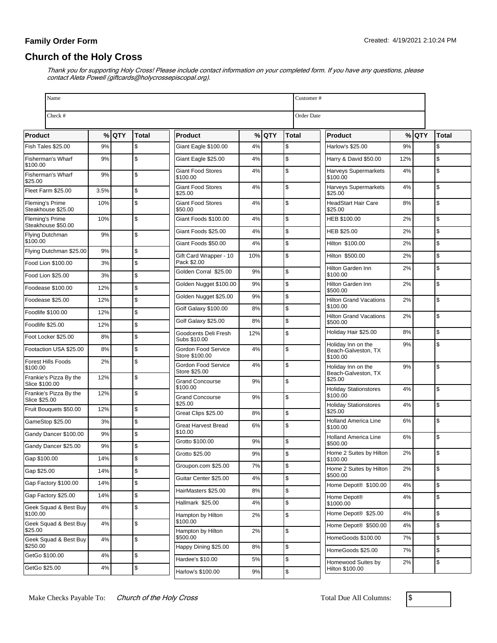# **Church of the Holy Cross**

| Check #<br>Order Date<br>% QTY<br>$%$ QTY<br>$%$ QTY<br><b>Total</b><br><b>Total</b><br>Total<br>Product<br><b>Product</b><br><b>Product</b><br>\$<br>\$<br>Fish Tales \$25.00<br>9%<br>Giant Eagle \$100.00<br>4%<br>Harlow's \$25.00<br>9%<br>\$<br>\$<br>\$<br>\$<br>9%<br>4%<br>Fisherman's Wharf<br>Giant Eagle \$25.00<br>Harry & David \$50.00<br>12%<br>\$100.00<br>\$<br>4%<br>\$<br><b>Giant Food Stores</b><br><b>Harveys Supermarkets</b><br>4%<br>\$<br>Fisherman's Wharf<br>9%<br>\$100.00<br>\$100.00<br>\$25.00<br>\$<br>4%<br>\$<br><b>Giant Food Stores</b><br>4%<br><b>Harveys Supermarkets</b><br>\$<br>Fleet Farm \$25.00<br>3.5%<br>\$25.00<br>\$25.00<br>\$<br>\$<br>\$<br>10%<br><b>Giant Food Stores</b><br>4%<br><b>HeadStart Hair Care</b><br>8%<br>Fleming's Prime<br>Steakhouse \$25.00<br>\$25.00<br>\$50.00<br>\$<br>\$<br>\$<br>Fleming's Prime<br>10%<br>Giant Foods \$100.00<br>4%<br>HEB \$100.00<br>2%<br>Steakhouse \$50.00<br>\$<br>\$<br>Giant Foods \$25.00<br>4%<br>HEB \$25.00<br>2%<br>\$<br>Flying Dutchman<br>9%<br>\$100.00<br>\$<br>$\mathsf{\$}$<br>Giant Foods \$50.00<br>4%<br>Hilton \$100.00<br>2%<br>\$<br>Flying Dutchman \$25.00<br>9%<br>\$<br>\$<br>Gift Card Wrapper - 10<br>10%<br>Hilton \$500.00<br>2%<br>Pack \$2.00<br>\$<br>Food Lion \$100.00<br>3%<br>\$<br>Hilton Garden Inn<br>2%<br>\$<br>Golden Corral \$25.00<br>9%<br>\$100.00<br>\$<br>Food Lion \$25.00<br>3%<br>\$<br>\$<br>Golden Nugget \$100.00<br>9%<br>Hilton Garden Inn<br>2%<br>\$<br>Foodease \$100.00<br>12%<br>\$500.00<br>\$<br>9%<br>Golden Nugget \$25.00<br>\$<br>\$<br>Foodease \$25.00<br>12%<br><b>Hilton Grand Vacations</b><br>2%<br>\$100.00<br>\$<br>Golf Galaxy \$100.00<br>8%<br>12%<br>\$<br>Foodlife \$100.00<br>\$<br><b>Hilton Grand Vacations</b><br>2%<br>\$<br>Golf Galaxy \$25.00<br>8%<br>\$500.00<br>\$<br>12%<br>Foodlife \$25.00<br>\$<br>Holiday Hair \$25.00<br>8%<br>\$<br>Goodcents Deli Fresh<br>12%<br>\$<br>Foot Locker \$25.00<br>8%<br>Subs \$10.00<br>\$<br>Holiday Inn on the<br>9%<br>\$<br>\$<br>8%<br>Gordon Food Service<br>4%<br>Footaction USA \$25.00<br>Beach-Galveston, TX<br>Store \$100.00<br>\$100.00<br>\$<br><b>Forest Hills Foods</b><br>2%<br>\$<br>Gordon Food Service<br>4%<br>\$<br>Holiday Inn on the<br>9%<br>\$100.00<br>Store \$25.00<br>Beach-Galveston, TX<br>\$<br>Frankie's Pizza By the<br>12%<br>\$25.00<br><b>Grand Concourse</b><br>\$<br>9%<br>Slice \$100.00<br>\$100.00<br>\$<br><b>Holiday Stationstores</b><br>4%<br>\$<br>Frankie's Pizza By the<br>12%<br>\$100.00<br>\$<br><b>Grand Concourse</b><br>9%<br>Slice \$25.00<br>\$25.00<br>\$<br>4%<br><b>Holiday Stationstores</b><br>\$<br>Fruit Bouquets \$50.00<br>12%<br>\$25.00<br>\$<br>Great Clips \$25.00<br>8%<br>\$<br>\$<br>6%<br>Holland America Line<br>GameStop \$25.00<br>3%<br>\$<br><b>Great Harvest Bread</b><br>6%<br>\$100.00<br>\$10.00<br>\$<br>Gandy Dancer \$100.00<br>9%<br>\$<br><b>Holland America Line</b><br>6%<br>\$<br>9%<br>Grotto \$100.00<br>\$500.00<br>\$<br>9%<br>Gandy Dancer \$25.00<br>S.<br>$\mathfrak{s}$<br>2%<br>9%<br>Home 2 Suites by Hilton<br>Grotto \$25.00<br>Gap \$100.00<br>14%<br>\$<br>\$100.00<br>\$<br>Groupon.com \$25.00<br>7%<br>$\mathsf{\$}$<br>2%<br>Home 2 Suites by Hilton<br>\$<br>Gap \$25.00<br>14%<br>\$500.00<br>\$<br>4%<br>Guitar Center \$25.00<br>\$<br>Gap Factory \$100.00<br>14%<br>Home Depot® \$100.00<br>4%<br>\$<br>\$<br>8%<br>HairMasters \$25.00<br>\$<br>14%<br>Gap Factory \$25.00<br>Home Depot <sup>®</sup><br>\$<br>4%<br>\$<br>Hallmark \$25.00<br>4%<br>\$1000.00<br>\$<br>4%<br>Geek Squad & Best Buy<br>Home Depot® \$25.00<br>\$<br>4%<br>\$100.00<br>\$<br>Hampton by Hilton<br>2%<br>\$100.00<br>4%<br>\$<br>Geek Squad & Best Buy<br>\$<br>Home Depot® \$500.00<br>4%<br>\$25.00<br>\$<br>Hampton by Hilton<br>2%<br>\$<br>\$500.00<br>7%<br>HomeGoods \$100.00<br>\$<br>Geek Squad & Best Buy<br>4%<br>\$250.00<br>\$<br>Happy Dining \$25.00<br>8%<br>\$<br>HomeGoods \$25.00<br>7%<br>GetGo \$100.00<br>4%<br>\$<br>\$<br>Hardee's \$10.00<br>5%<br>$\mathfrak s$<br>Homewood Suites by<br>2%<br>\$<br>4%<br>GetGo \$25.00<br>Hilton \$100.00 | Name |  |  |  |                   |    |  |    |  | Customer# |  |  |  |  |
|---------------------------------------------------------------------------------------------------------------------------------------------------------------------------------------------------------------------------------------------------------------------------------------------------------------------------------------------------------------------------------------------------------------------------------------------------------------------------------------------------------------------------------------------------------------------------------------------------------------------------------------------------------------------------------------------------------------------------------------------------------------------------------------------------------------------------------------------------------------------------------------------------------------------------------------------------------------------------------------------------------------------------------------------------------------------------------------------------------------------------------------------------------------------------------------------------------------------------------------------------------------------------------------------------------------------------------------------------------------------------------------------------------------------------------------------------------------------------------------------------------------------------------------------------------------------------------------------------------------------------------------------------------------------------------------------------------------------------------------------------------------------------------------------------------------------------------------------------------------------------------------------------------------------------------------------------------------------------------------------------------------------------------------------------------------------------------------------------------------------------------------------------------------------------------------------------------------------------------------------------------------------------------------------------------------------------------------------------------------------------------------------------------------------------------------------------------------------------------------------------------------------------------------------------------------------------------------------------------------------------------------------------------------------------------------------------------------------------------------------------------------------------------------------------------------------------------------------------------------------------------------------------------------------------------------------------------------------------------------------------------------------------------------------------------------------------------------------------------------------------------------------------------------------------------------------------------------------------------------------------------------------------------------------------------------------------------------------------------------------------------------------------------------------------------------------------------------------------------------------------------------------------------------------------------------------------------------------------------------------------------------------------------------------------------------------------------------------------------------------------------------------------------------------------------------------------------------------------------------------------------------------------------------------------------------------------------------------------------------------------------------------------------------------------------------------------------------------------------------------------------------------------------------------------------------------------------------|------|--|--|--|-------------------|----|--|----|--|-----------|--|--|--|--|
|                                                                                                                                                                                                                                                                                                                                                                                                                                                                                                                                                                                                                                                                                                                                                                                                                                                                                                                                                                                                                                                                                                                                                                                                                                                                                                                                                                                                                                                                                                                                                                                                                                                                                                                                                                                                                                                                                                                                                                                                                                                                                                                                                                                                                                                                                                                                                                                                                                                                                                                                                                                                                                                                                                                                                                                                                                                                                                                                                                                                                                                                                                                                                                                                                                                                                                                                                                                                                                                                                                                                                                                                                                                                                                                                                                                                                                                                                                                                                                                                                                                                                                                                                                                                               |      |  |  |  |                   |    |  |    |  |           |  |  |  |  |
|                                                                                                                                                                                                                                                                                                                                                                                                                                                                                                                                                                                                                                                                                                                                                                                                                                                                                                                                                                                                                                                                                                                                                                                                                                                                                                                                                                                                                                                                                                                                                                                                                                                                                                                                                                                                                                                                                                                                                                                                                                                                                                                                                                                                                                                                                                                                                                                                                                                                                                                                                                                                                                                                                                                                                                                                                                                                                                                                                                                                                                                                                                                                                                                                                                                                                                                                                                                                                                                                                                                                                                                                                                                                                                                                                                                                                                                                                                                                                                                                                                                                                                                                                                                                               |      |  |  |  |                   |    |  |    |  |           |  |  |  |  |
|                                                                                                                                                                                                                                                                                                                                                                                                                                                                                                                                                                                                                                                                                                                                                                                                                                                                                                                                                                                                                                                                                                                                                                                                                                                                                                                                                                                                                                                                                                                                                                                                                                                                                                                                                                                                                                                                                                                                                                                                                                                                                                                                                                                                                                                                                                                                                                                                                                                                                                                                                                                                                                                                                                                                                                                                                                                                                                                                                                                                                                                                                                                                                                                                                                                                                                                                                                                                                                                                                                                                                                                                                                                                                                                                                                                                                                                                                                                                                                                                                                                                                                                                                                                                               |      |  |  |  |                   |    |  |    |  |           |  |  |  |  |
|                                                                                                                                                                                                                                                                                                                                                                                                                                                                                                                                                                                                                                                                                                                                                                                                                                                                                                                                                                                                                                                                                                                                                                                                                                                                                                                                                                                                                                                                                                                                                                                                                                                                                                                                                                                                                                                                                                                                                                                                                                                                                                                                                                                                                                                                                                                                                                                                                                                                                                                                                                                                                                                                                                                                                                                                                                                                                                                                                                                                                                                                                                                                                                                                                                                                                                                                                                                                                                                                                                                                                                                                                                                                                                                                                                                                                                                                                                                                                                                                                                                                                                                                                                                                               |      |  |  |  |                   |    |  |    |  |           |  |  |  |  |
|                                                                                                                                                                                                                                                                                                                                                                                                                                                                                                                                                                                                                                                                                                                                                                                                                                                                                                                                                                                                                                                                                                                                                                                                                                                                                                                                                                                                                                                                                                                                                                                                                                                                                                                                                                                                                                                                                                                                                                                                                                                                                                                                                                                                                                                                                                                                                                                                                                                                                                                                                                                                                                                                                                                                                                                                                                                                                                                                                                                                                                                                                                                                                                                                                                                                                                                                                                                                                                                                                                                                                                                                                                                                                                                                                                                                                                                                                                                                                                                                                                                                                                                                                                                                               |      |  |  |  |                   |    |  |    |  |           |  |  |  |  |
|                                                                                                                                                                                                                                                                                                                                                                                                                                                                                                                                                                                                                                                                                                                                                                                                                                                                                                                                                                                                                                                                                                                                                                                                                                                                                                                                                                                                                                                                                                                                                                                                                                                                                                                                                                                                                                                                                                                                                                                                                                                                                                                                                                                                                                                                                                                                                                                                                                                                                                                                                                                                                                                                                                                                                                                                                                                                                                                                                                                                                                                                                                                                                                                                                                                                                                                                                                                                                                                                                                                                                                                                                                                                                                                                                                                                                                                                                                                                                                                                                                                                                                                                                                                                               |      |  |  |  |                   |    |  |    |  |           |  |  |  |  |
|                                                                                                                                                                                                                                                                                                                                                                                                                                                                                                                                                                                                                                                                                                                                                                                                                                                                                                                                                                                                                                                                                                                                                                                                                                                                                                                                                                                                                                                                                                                                                                                                                                                                                                                                                                                                                                                                                                                                                                                                                                                                                                                                                                                                                                                                                                                                                                                                                                                                                                                                                                                                                                                                                                                                                                                                                                                                                                                                                                                                                                                                                                                                                                                                                                                                                                                                                                                                                                                                                                                                                                                                                                                                                                                                                                                                                                                                                                                                                                                                                                                                                                                                                                                                               |      |  |  |  |                   |    |  |    |  |           |  |  |  |  |
|                                                                                                                                                                                                                                                                                                                                                                                                                                                                                                                                                                                                                                                                                                                                                                                                                                                                                                                                                                                                                                                                                                                                                                                                                                                                                                                                                                                                                                                                                                                                                                                                                                                                                                                                                                                                                                                                                                                                                                                                                                                                                                                                                                                                                                                                                                                                                                                                                                                                                                                                                                                                                                                                                                                                                                                                                                                                                                                                                                                                                                                                                                                                                                                                                                                                                                                                                                                                                                                                                                                                                                                                                                                                                                                                                                                                                                                                                                                                                                                                                                                                                                                                                                                                               |      |  |  |  |                   |    |  |    |  |           |  |  |  |  |
|                                                                                                                                                                                                                                                                                                                                                                                                                                                                                                                                                                                                                                                                                                                                                                                                                                                                                                                                                                                                                                                                                                                                                                                                                                                                                                                                                                                                                                                                                                                                                                                                                                                                                                                                                                                                                                                                                                                                                                                                                                                                                                                                                                                                                                                                                                                                                                                                                                                                                                                                                                                                                                                                                                                                                                                                                                                                                                                                                                                                                                                                                                                                                                                                                                                                                                                                                                                                                                                                                                                                                                                                                                                                                                                                                                                                                                                                                                                                                                                                                                                                                                                                                                                                               |      |  |  |  |                   |    |  |    |  |           |  |  |  |  |
|                                                                                                                                                                                                                                                                                                                                                                                                                                                                                                                                                                                                                                                                                                                                                                                                                                                                                                                                                                                                                                                                                                                                                                                                                                                                                                                                                                                                                                                                                                                                                                                                                                                                                                                                                                                                                                                                                                                                                                                                                                                                                                                                                                                                                                                                                                                                                                                                                                                                                                                                                                                                                                                                                                                                                                                                                                                                                                                                                                                                                                                                                                                                                                                                                                                                                                                                                                                                                                                                                                                                                                                                                                                                                                                                                                                                                                                                                                                                                                                                                                                                                                                                                                                                               |      |  |  |  |                   |    |  |    |  |           |  |  |  |  |
|                                                                                                                                                                                                                                                                                                                                                                                                                                                                                                                                                                                                                                                                                                                                                                                                                                                                                                                                                                                                                                                                                                                                                                                                                                                                                                                                                                                                                                                                                                                                                                                                                                                                                                                                                                                                                                                                                                                                                                                                                                                                                                                                                                                                                                                                                                                                                                                                                                                                                                                                                                                                                                                                                                                                                                                                                                                                                                                                                                                                                                                                                                                                                                                                                                                                                                                                                                                                                                                                                                                                                                                                                                                                                                                                                                                                                                                                                                                                                                                                                                                                                                                                                                                                               |      |  |  |  |                   |    |  |    |  |           |  |  |  |  |
|                                                                                                                                                                                                                                                                                                                                                                                                                                                                                                                                                                                                                                                                                                                                                                                                                                                                                                                                                                                                                                                                                                                                                                                                                                                                                                                                                                                                                                                                                                                                                                                                                                                                                                                                                                                                                                                                                                                                                                                                                                                                                                                                                                                                                                                                                                                                                                                                                                                                                                                                                                                                                                                                                                                                                                                                                                                                                                                                                                                                                                                                                                                                                                                                                                                                                                                                                                                                                                                                                                                                                                                                                                                                                                                                                                                                                                                                                                                                                                                                                                                                                                                                                                                                               |      |  |  |  |                   |    |  |    |  |           |  |  |  |  |
|                                                                                                                                                                                                                                                                                                                                                                                                                                                                                                                                                                                                                                                                                                                                                                                                                                                                                                                                                                                                                                                                                                                                                                                                                                                                                                                                                                                                                                                                                                                                                                                                                                                                                                                                                                                                                                                                                                                                                                                                                                                                                                                                                                                                                                                                                                                                                                                                                                                                                                                                                                                                                                                                                                                                                                                                                                                                                                                                                                                                                                                                                                                                                                                                                                                                                                                                                                                                                                                                                                                                                                                                                                                                                                                                                                                                                                                                                                                                                                                                                                                                                                                                                                                                               |      |  |  |  |                   |    |  |    |  |           |  |  |  |  |
|                                                                                                                                                                                                                                                                                                                                                                                                                                                                                                                                                                                                                                                                                                                                                                                                                                                                                                                                                                                                                                                                                                                                                                                                                                                                                                                                                                                                                                                                                                                                                                                                                                                                                                                                                                                                                                                                                                                                                                                                                                                                                                                                                                                                                                                                                                                                                                                                                                                                                                                                                                                                                                                                                                                                                                                                                                                                                                                                                                                                                                                                                                                                                                                                                                                                                                                                                                                                                                                                                                                                                                                                                                                                                                                                                                                                                                                                                                                                                                                                                                                                                                                                                                                                               |      |  |  |  |                   |    |  |    |  |           |  |  |  |  |
|                                                                                                                                                                                                                                                                                                                                                                                                                                                                                                                                                                                                                                                                                                                                                                                                                                                                                                                                                                                                                                                                                                                                                                                                                                                                                                                                                                                                                                                                                                                                                                                                                                                                                                                                                                                                                                                                                                                                                                                                                                                                                                                                                                                                                                                                                                                                                                                                                                                                                                                                                                                                                                                                                                                                                                                                                                                                                                                                                                                                                                                                                                                                                                                                                                                                                                                                                                                                                                                                                                                                                                                                                                                                                                                                                                                                                                                                                                                                                                                                                                                                                                                                                                                                               |      |  |  |  |                   |    |  |    |  |           |  |  |  |  |
|                                                                                                                                                                                                                                                                                                                                                                                                                                                                                                                                                                                                                                                                                                                                                                                                                                                                                                                                                                                                                                                                                                                                                                                                                                                                                                                                                                                                                                                                                                                                                                                                                                                                                                                                                                                                                                                                                                                                                                                                                                                                                                                                                                                                                                                                                                                                                                                                                                                                                                                                                                                                                                                                                                                                                                                                                                                                                                                                                                                                                                                                                                                                                                                                                                                                                                                                                                                                                                                                                                                                                                                                                                                                                                                                                                                                                                                                                                                                                                                                                                                                                                                                                                                                               |      |  |  |  |                   |    |  |    |  |           |  |  |  |  |
|                                                                                                                                                                                                                                                                                                                                                                                                                                                                                                                                                                                                                                                                                                                                                                                                                                                                                                                                                                                                                                                                                                                                                                                                                                                                                                                                                                                                                                                                                                                                                                                                                                                                                                                                                                                                                                                                                                                                                                                                                                                                                                                                                                                                                                                                                                                                                                                                                                                                                                                                                                                                                                                                                                                                                                                                                                                                                                                                                                                                                                                                                                                                                                                                                                                                                                                                                                                                                                                                                                                                                                                                                                                                                                                                                                                                                                                                                                                                                                                                                                                                                                                                                                                                               |      |  |  |  |                   |    |  |    |  |           |  |  |  |  |
|                                                                                                                                                                                                                                                                                                                                                                                                                                                                                                                                                                                                                                                                                                                                                                                                                                                                                                                                                                                                                                                                                                                                                                                                                                                                                                                                                                                                                                                                                                                                                                                                                                                                                                                                                                                                                                                                                                                                                                                                                                                                                                                                                                                                                                                                                                                                                                                                                                                                                                                                                                                                                                                                                                                                                                                                                                                                                                                                                                                                                                                                                                                                                                                                                                                                                                                                                                                                                                                                                                                                                                                                                                                                                                                                                                                                                                                                                                                                                                                                                                                                                                                                                                                                               |      |  |  |  |                   |    |  |    |  |           |  |  |  |  |
|                                                                                                                                                                                                                                                                                                                                                                                                                                                                                                                                                                                                                                                                                                                                                                                                                                                                                                                                                                                                                                                                                                                                                                                                                                                                                                                                                                                                                                                                                                                                                                                                                                                                                                                                                                                                                                                                                                                                                                                                                                                                                                                                                                                                                                                                                                                                                                                                                                                                                                                                                                                                                                                                                                                                                                                                                                                                                                                                                                                                                                                                                                                                                                                                                                                                                                                                                                                                                                                                                                                                                                                                                                                                                                                                                                                                                                                                                                                                                                                                                                                                                                                                                                                                               |      |  |  |  |                   |    |  |    |  |           |  |  |  |  |
|                                                                                                                                                                                                                                                                                                                                                                                                                                                                                                                                                                                                                                                                                                                                                                                                                                                                                                                                                                                                                                                                                                                                                                                                                                                                                                                                                                                                                                                                                                                                                                                                                                                                                                                                                                                                                                                                                                                                                                                                                                                                                                                                                                                                                                                                                                                                                                                                                                                                                                                                                                                                                                                                                                                                                                                                                                                                                                                                                                                                                                                                                                                                                                                                                                                                                                                                                                                                                                                                                                                                                                                                                                                                                                                                                                                                                                                                                                                                                                                                                                                                                                                                                                                                               |      |  |  |  |                   |    |  |    |  |           |  |  |  |  |
|                                                                                                                                                                                                                                                                                                                                                                                                                                                                                                                                                                                                                                                                                                                                                                                                                                                                                                                                                                                                                                                                                                                                                                                                                                                                                                                                                                                                                                                                                                                                                                                                                                                                                                                                                                                                                                                                                                                                                                                                                                                                                                                                                                                                                                                                                                                                                                                                                                                                                                                                                                                                                                                                                                                                                                                                                                                                                                                                                                                                                                                                                                                                                                                                                                                                                                                                                                                                                                                                                                                                                                                                                                                                                                                                                                                                                                                                                                                                                                                                                                                                                                                                                                                                               |      |  |  |  |                   |    |  |    |  |           |  |  |  |  |
|                                                                                                                                                                                                                                                                                                                                                                                                                                                                                                                                                                                                                                                                                                                                                                                                                                                                                                                                                                                                                                                                                                                                                                                                                                                                                                                                                                                                                                                                                                                                                                                                                                                                                                                                                                                                                                                                                                                                                                                                                                                                                                                                                                                                                                                                                                                                                                                                                                                                                                                                                                                                                                                                                                                                                                                                                                                                                                                                                                                                                                                                                                                                                                                                                                                                                                                                                                                                                                                                                                                                                                                                                                                                                                                                                                                                                                                                                                                                                                                                                                                                                                                                                                                                               |      |  |  |  |                   |    |  |    |  |           |  |  |  |  |
|                                                                                                                                                                                                                                                                                                                                                                                                                                                                                                                                                                                                                                                                                                                                                                                                                                                                                                                                                                                                                                                                                                                                                                                                                                                                                                                                                                                                                                                                                                                                                                                                                                                                                                                                                                                                                                                                                                                                                                                                                                                                                                                                                                                                                                                                                                                                                                                                                                                                                                                                                                                                                                                                                                                                                                                                                                                                                                                                                                                                                                                                                                                                                                                                                                                                                                                                                                                                                                                                                                                                                                                                                                                                                                                                                                                                                                                                                                                                                                                                                                                                                                                                                                                                               |      |  |  |  |                   |    |  |    |  |           |  |  |  |  |
|                                                                                                                                                                                                                                                                                                                                                                                                                                                                                                                                                                                                                                                                                                                                                                                                                                                                                                                                                                                                                                                                                                                                                                                                                                                                                                                                                                                                                                                                                                                                                                                                                                                                                                                                                                                                                                                                                                                                                                                                                                                                                                                                                                                                                                                                                                                                                                                                                                                                                                                                                                                                                                                                                                                                                                                                                                                                                                                                                                                                                                                                                                                                                                                                                                                                                                                                                                                                                                                                                                                                                                                                                                                                                                                                                                                                                                                                                                                                                                                                                                                                                                                                                                                                               |      |  |  |  |                   |    |  |    |  |           |  |  |  |  |
|                                                                                                                                                                                                                                                                                                                                                                                                                                                                                                                                                                                                                                                                                                                                                                                                                                                                                                                                                                                                                                                                                                                                                                                                                                                                                                                                                                                                                                                                                                                                                                                                                                                                                                                                                                                                                                                                                                                                                                                                                                                                                                                                                                                                                                                                                                                                                                                                                                                                                                                                                                                                                                                                                                                                                                                                                                                                                                                                                                                                                                                                                                                                                                                                                                                                                                                                                                                                                                                                                                                                                                                                                                                                                                                                                                                                                                                                                                                                                                                                                                                                                                                                                                                                               |      |  |  |  |                   |    |  |    |  |           |  |  |  |  |
|                                                                                                                                                                                                                                                                                                                                                                                                                                                                                                                                                                                                                                                                                                                                                                                                                                                                                                                                                                                                                                                                                                                                                                                                                                                                                                                                                                                                                                                                                                                                                                                                                                                                                                                                                                                                                                                                                                                                                                                                                                                                                                                                                                                                                                                                                                                                                                                                                                                                                                                                                                                                                                                                                                                                                                                                                                                                                                                                                                                                                                                                                                                                                                                                                                                                                                                                                                                                                                                                                                                                                                                                                                                                                                                                                                                                                                                                                                                                                                                                                                                                                                                                                                                                               |      |  |  |  |                   |    |  |    |  |           |  |  |  |  |
|                                                                                                                                                                                                                                                                                                                                                                                                                                                                                                                                                                                                                                                                                                                                                                                                                                                                                                                                                                                                                                                                                                                                                                                                                                                                                                                                                                                                                                                                                                                                                                                                                                                                                                                                                                                                                                                                                                                                                                                                                                                                                                                                                                                                                                                                                                                                                                                                                                                                                                                                                                                                                                                                                                                                                                                                                                                                                                                                                                                                                                                                                                                                                                                                                                                                                                                                                                                                                                                                                                                                                                                                                                                                                                                                                                                                                                                                                                                                                                                                                                                                                                                                                                                                               |      |  |  |  |                   |    |  |    |  |           |  |  |  |  |
|                                                                                                                                                                                                                                                                                                                                                                                                                                                                                                                                                                                                                                                                                                                                                                                                                                                                                                                                                                                                                                                                                                                                                                                                                                                                                                                                                                                                                                                                                                                                                                                                                                                                                                                                                                                                                                                                                                                                                                                                                                                                                                                                                                                                                                                                                                                                                                                                                                                                                                                                                                                                                                                                                                                                                                                                                                                                                                                                                                                                                                                                                                                                                                                                                                                                                                                                                                                                                                                                                                                                                                                                                                                                                                                                                                                                                                                                                                                                                                                                                                                                                                                                                                                                               |      |  |  |  |                   |    |  |    |  |           |  |  |  |  |
|                                                                                                                                                                                                                                                                                                                                                                                                                                                                                                                                                                                                                                                                                                                                                                                                                                                                                                                                                                                                                                                                                                                                                                                                                                                                                                                                                                                                                                                                                                                                                                                                                                                                                                                                                                                                                                                                                                                                                                                                                                                                                                                                                                                                                                                                                                                                                                                                                                                                                                                                                                                                                                                                                                                                                                                                                                                                                                                                                                                                                                                                                                                                                                                                                                                                                                                                                                                                                                                                                                                                                                                                                                                                                                                                                                                                                                                                                                                                                                                                                                                                                                                                                                                                               |      |  |  |  |                   |    |  |    |  |           |  |  |  |  |
|                                                                                                                                                                                                                                                                                                                                                                                                                                                                                                                                                                                                                                                                                                                                                                                                                                                                                                                                                                                                                                                                                                                                                                                                                                                                                                                                                                                                                                                                                                                                                                                                                                                                                                                                                                                                                                                                                                                                                                                                                                                                                                                                                                                                                                                                                                                                                                                                                                                                                                                                                                                                                                                                                                                                                                                                                                                                                                                                                                                                                                                                                                                                                                                                                                                                                                                                                                                                                                                                                                                                                                                                                                                                                                                                                                                                                                                                                                                                                                                                                                                                                                                                                                                                               |      |  |  |  |                   |    |  |    |  |           |  |  |  |  |
|                                                                                                                                                                                                                                                                                                                                                                                                                                                                                                                                                                                                                                                                                                                                                                                                                                                                                                                                                                                                                                                                                                                                                                                                                                                                                                                                                                                                                                                                                                                                                                                                                                                                                                                                                                                                                                                                                                                                                                                                                                                                                                                                                                                                                                                                                                                                                                                                                                                                                                                                                                                                                                                                                                                                                                                                                                                                                                                                                                                                                                                                                                                                                                                                                                                                                                                                                                                                                                                                                                                                                                                                                                                                                                                                                                                                                                                                                                                                                                                                                                                                                                                                                                                                               |      |  |  |  |                   |    |  |    |  |           |  |  |  |  |
|                                                                                                                                                                                                                                                                                                                                                                                                                                                                                                                                                                                                                                                                                                                                                                                                                                                                                                                                                                                                                                                                                                                                                                                                                                                                                                                                                                                                                                                                                                                                                                                                                                                                                                                                                                                                                                                                                                                                                                                                                                                                                                                                                                                                                                                                                                                                                                                                                                                                                                                                                                                                                                                                                                                                                                                                                                                                                                                                                                                                                                                                                                                                                                                                                                                                                                                                                                                                                                                                                                                                                                                                                                                                                                                                                                                                                                                                                                                                                                                                                                                                                                                                                                                                               |      |  |  |  |                   |    |  |    |  |           |  |  |  |  |
|                                                                                                                                                                                                                                                                                                                                                                                                                                                                                                                                                                                                                                                                                                                                                                                                                                                                                                                                                                                                                                                                                                                                                                                                                                                                                                                                                                                                                                                                                                                                                                                                                                                                                                                                                                                                                                                                                                                                                                                                                                                                                                                                                                                                                                                                                                                                                                                                                                                                                                                                                                                                                                                                                                                                                                                                                                                                                                                                                                                                                                                                                                                                                                                                                                                                                                                                                                                                                                                                                                                                                                                                                                                                                                                                                                                                                                                                                                                                                                                                                                                                                                                                                                                                               |      |  |  |  |                   |    |  |    |  |           |  |  |  |  |
|                                                                                                                                                                                                                                                                                                                                                                                                                                                                                                                                                                                                                                                                                                                                                                                                                                                                                                                                                                                                                                                                                                                                                                                                                                                                                                                                                                                                                                                                                                                                                                                                                                                                                                                                                                                                                                                                                                                                                                                                                                                                                                                                                                                                                                                                                                                                                                                                                                                                                                                                                                                                                                                                                                                                                                                                                                                                                                                                                                                                                                                                                                                                                                                                                                                                                                                                                                                                                                                                                                                                                                                                                                                                                                                                                                                                                                                                                                                                                                                                                                                                                                                                                                                                               |      |  |  |  | Harlow's \$100.00 | 9% |  | \$ |  |           |  |  |  |  |

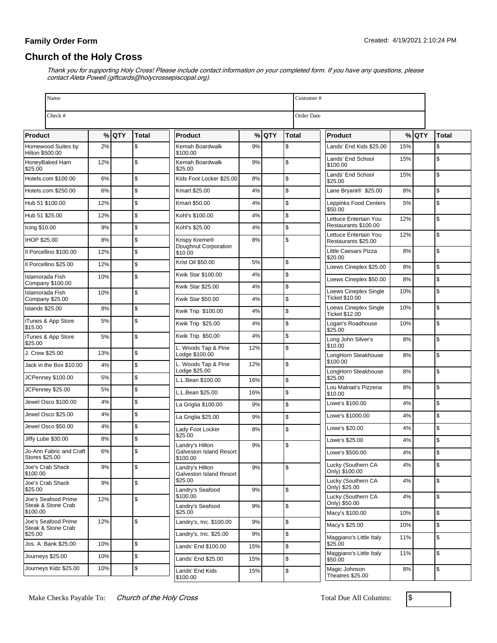# **Church of the Holy Cross**

| Name                                         |     |         |       |                                            |     | Customer# |       |                                                     |         |               |
|----------------------------------------------|-----|---------|-------|--------------------------------------------|-----|-----------|-------|-----------------------------------------------------|---------|---------------|
| Check #<br>Order Date                        |     |         |       |                                            |     |           |       |                                                     |         |               |
| Product                                      |     | $%$ QTY | Total | <b>Product</b>                             |     | $%$ QTY   | Total | <b>Product</b>                                      | $%$ QTY | <b>Total</b>  |
| Homewood Suites by<br><b>Hilton \$500.00</b> | 2%  |         | \$    | Kemah Boardwalk<br>\$100.00                | 9%  |           | \$    | Lands' End Kids \$25.00<br>15%                      |         | \$            |
| HoneyBaked Ham                               | 12% |         | \$    | Kemah Boardwalk                            | 9%  |           | \$    | Lands' End School<br>15%<br>\$100.00                |         | \$            |
| \$25.00<br>Hotels.com \$100.00               | 6%  |         | \$    | \$25.00<br>Kids Foot Locker \$25.00        | 8%  |           | \$    | Lands' End School<br>15%<br>\$25.00                 |         | S.            |
| Hotels.com \$250.00                          | 6%  |         | \$    | Kmart \$25.00                              | 4%  |           | \$    | Lane Bryant <sup>®</sup> \$25.00<br>8%              |         | \$            |
| Hub 51 \$100.00                              | 12% |         | \$    | Kmart \$50.00                              | 4%  |           | \$    | Leppinks Food Centers<br>5%<br>\$50.00              |         | \$            |
| Hub 51 \$25.00                               | 12% |         | \$    | Kohl's \$100.00                            | 4%  |           | \$    | Lettuce Entertain You<br>12%                        |         | \$            |
| Icing \$10.00                                | 9%  |         | \$    | Kohl's \$25.00                             | 4%  |           | \$    | Restaurants \$100.00                                |         |               |
| IHOP \$25.00                                 | 8%  |         | \$    | Krispy Kreme®<br>Doughnut Corporation      | 8%  |           | \$    | Lettuce Entertain You<br>12%<br>Restaurants \$25.00 |         | \$            |
| Il Porcellino \$100.00                       | 12% |         | \$    | \$10.00                                    |     |           |       | 8%<br>Little Caesars Pizza<br>\$20.00               |         | $\mathsf{\$}$ |
| Il Porcellino \$25.00                        | 12% |         | \$    | Krist Oil \$50.00                          | 5%  |           | \$    | Loews Cineplex \$25.00<br>8%                        |         | $\mathsf{\$}$ |
| Islamorada Fish<br>Company \$100.00          | 10% |         | \$    | Kwik Star \$100.00                         | 4%  |           | \$    | Loews Cineplex \$50.00<br>8%                        |         | \$            |
| <b>Islamorada Fish</b>                       | 10% |         | \$    | Kwik Star \$25.00                          | 4%  |           | \$    | 10%<br>Loews Cineplex Single                        |         | \$            |
| Company \$25.00<br>Islands \$25.00           | 8%  |         | \$    | <b>Kwik Star \$50.00</b>                   | 4%  |           | \$    | Ticket \$10.00<br>Loews Cineplex Single<br>10%      |         | \$            |
| iTunes & App Store                           | 5%  |         | \$    | Kwik Trip \$100.00                         | 4%  |           | \$    | Ticket \$12.00                                      |         |               |
| \$15.00                                      |     |         |       | Kwik Trip \$25.00                          | 4%  |           | \$    | Logan's Roadhouse<br>10%<br>\$25.00                 |         | \$            |
| iTunes & App Store<br>\$25.00                | 5%  |         | \$    | Kwik Trip \$50.00                          | 4%  |           | \$    | Long John Silver's<br>8%<br>\$10.00                 |         | \$            |
| J. Crew \$25.00                              | 13% |         | \$    | L. Woods Tap & Pine<br>Lodge \$100.00      | 12% |           | \$    | LongHorn Steakhouse<br>8%                           |         | \$            |
| Jack in the Box \$10.00                      | 4%  |         | \$    | L. Woods Tap & Pine<br>Lodge \$25.00       | 12% |           | \$    | \$100.00<br>LongHorn Steakhouse<br>8%               |         | \$            |
| JCPenney \$100.00                            | 5%  |         | \$    | L.L.Bean \$100.00                          | 16% |           | \$    | \$25.00                                             |         |               |
| JCPenney \$25.00                             | 5%  |         | \$    | L.L.Bean \$25.00                           | 16% |           | \$    | Lou Malnati's Pizzeria<br>8%<br>\$10.00             |         | \$            |
| Jewel Osco \$100.00                          | 4%  |         | \$    | La Griglia \$100.00                        | 9%  |           | \$    | Lowe's \$100.00<br>4%                               |         | $\mathsf{\$}$ |
| Jewel Osco \$25.00                           | 4%  |         | \$    | La Griglia \$25.00                         | 9%  |           | \$    | Lowe's \$1000.00<br>4%                              |         | \$            |
| Jewel Osco \$50.00                           | 4%  |         | \$    | Lady Foot Locker                           | 8%  |           | \$    | Lowe's \$20.00<br>4%                                |         | $\mathfrak s$ |
| Jiffy Lube \$30.00                           | 8%  |         | \$    | \$25.00<br>Landry's Hilton                 | 9%  |           | \$    | Lowe's \$25.00<br>4%                                |         | \$            |
| Jo-Ann Fabric and Craft<br>Stores \$25.00    | 6%  |         | \$    | Galveston Island Resort<br>\$100.00        |     |           |       | Lowe's \$500.00<br>4%                               |         | $\mathsf{\$}$ |
| Joe's Crab Shack<br>\$100.00                 | 9%  |         | \$    | Landry's Hilton<br>Galveston Island Resort | 9%  |           | \$    | 4%<br>Lucky (Southern CA<br>Only) \$100.00          |         | $\mathfrak s$ |
| Joe's Crab Shack<br>\$25.00                  | 9%  |         | \$    | \$25.00                                    | 9%  |           | \$    | Lucky (Southern CA<br>4%<br>Only) \$25.00           |         | \$            |
| Joe's Seafood Prime                          | 12% |         | \$    | Landry's Seafood<br>\$100.00               |     |           |       | Lucky (Southern CA<br>4%                            |         | \$            |
| Steak & Stone Crab<br>\$100.00               |     |         |       | Landry's Seafood<br>\$25.00                | 9%  |           | \$    | Only) \$50.00<br>Macy's \$100.00<br>10%             |         | \$            |
| Joe's Seafood Prime<br>Steak & Stone Crab    | 12% |         | \$    | Landry's, Inc. \$100.00                    | 9%  |           | \$    | Macy's \$25.00<br>10%                               |         | \$            |
| \$25.00                                      |     |         |       | Landry's, Inc. \$25.00                     | 9%  |           | \$    | Maggiano's Little Italy<br>11%                      |         | $\mathsf{\$}$ |
| Jos. A. Bank \$25.00                         | 10% |         | \$    | Lands' End \$100.00                        | 15% |           | \$    | \$25.00                                             |         |               |
| Journevs \$25.00                             | 10% |         | \$    | Lands' End \$25.00                         | 15% |           | \$    | Maggiano's Little Italy<br>11%<br>\$50.00           |         | $\mathfrak s$ |
| Journeys Kidz \$25.00                        | 10% |         | \$    | Lands' End Kids<br>\$100.00                | 15% |           | \$    | Magic Johnson<br>8%<br>Theatres \$25.00             |         | \$            |

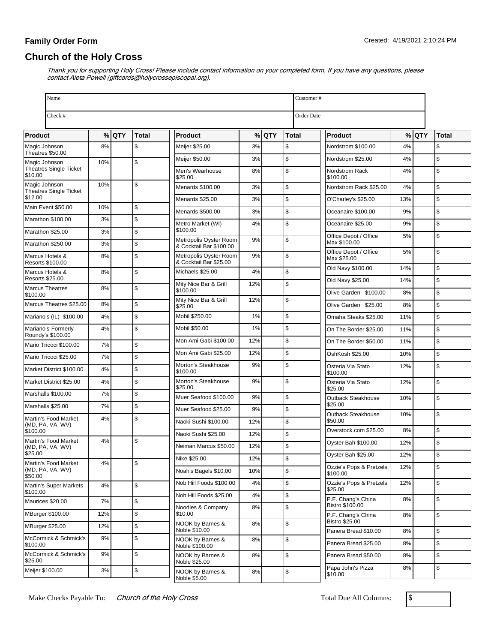## **Church of the Holy Cross**

| Name                                           |     |         |       |                                                  |     |         |              | Customer#                                     |     |         |            |  |
|------------------------------------------------|-----|---------|-------|--------------------------------------------------|-----|---------|--------------|-----------------------------------------------|-----|---------|------------|--|
| Check #                                        |     |         |       |                                                  |     |         | Order Date   |                                               |     |         |            |  |
| Product                                        |     | $%$ QTY | Total | <b>Product</b>                                   |     | $%$ QTY | <b>Total</b> | <b>Product</b>                                |     | $%$ QTY | Total      |  |
| Magic Johnson                                  | 8%  |         | \$    | Meijer \$25.00                                   | 3%  |         | \$           | Nordstrom \$100.00                            | 4%  |         | \$         |  |
| Theatres \$50.00<br>Magic Johnson              | 10% |         | \$    | Meijer \$50.00                                   | 3%  |         | \$           | Nordstrom \$25.00                             | 4%  |         | \$         |  |
| <b>Theatres Single Ticket</b><br>\$10.00       |     |         |       | Men's Wearhouse<br>\$25.00                       | 8%  |         | \$           | Nordstrom Rack<br>\$100.00                    | 4%  |         | \$         |  |
| Magic Johnson<br><b>Theatres Single Ticket</b> | 10% |         | \$    | Menards \$100.00                                 | 3%  |         | \$           | Nordstrom Rack \$25.00                        | 4%  |         | \$         |  |
| \$12.00                                        |     |         |       | Menards \$25.00                                  | 3%  |         | \$           | O'Charley's \$25.00                           | 13% |         | \$         |  |
| Main Event \$50.00                             | 10% |         | \$    | Menards \$500.00                                 | 3%  |         | \$           | Oceanaire \$100.00                            | 9%  |         | \$         |  |
| Marathon \$100.00                              | 3%  |         | \$    | Metro Market (WI)<br>\$100.00                    | 4%  |         | \$           | Oceanaire \$25.00                             | 9%  |         | \$         |  |
| Marathon \$25.00                               | 3%  |         | \$    | Metropolis Oyster Room                           | 9%  |         | \$           | Office Depot / Office<br>Max \$100.00         | 5%  |         | \$         |  |
| Marathon \$250.00                              | 3%  |         | \$    | & Cocktail Bar \$100.00                          |     |         |              | Office Depot / Office                         | 5%  |         | \$         |  |
| Marcus Hotels &<br>Resorts \$100.00            | 8%  |         | \$    | Metropolis Oyster Room<br>& Cocktail Bar \$25.00 | 9%  |         | \$           | Max \$25.00                                   |     |         |            |  |
| Marcus Hotels &<br><b>Resorts \$25.00</b>      | 8%  |         | \$    | Michaels \$25.00                                 | 4%  |         | \$           | Old Navy \$100.00                             | 14% |         | \$         |  |
| <b>Marcus Theatres</b>                         | 8%  |         | \$    | Mity Nice Bar & Grill<br>\$100.00                | 12% |         | \$           | Old Navy \$25.00                              | 14% |         | \$         |  |
| \$100.00                                       |     |         |       | Mity Nice Bar & Grill                            | 12% |         | \$           | Olive Garden \$100.00                         | 8%  |         | \$         |  |
| Marcus Theatres \$25.00                        | 8%  |         | \$    | \$25.00                                          |     |         |              | Olive Garden \$25.00                          | 8%  |         | \$         |  |
| Mariano's (IL) \$100.00                        | 4%  |         | \$    | Mobil \$250.00                                   | 1%  |         | \$           | Omaha Steaks \$25.00                          | 11% |         | \$         |  |
| Mariano's-Formerly<br>Roundy's \$100.00        | 4%  |         | \$    | Mobil \$50.00                                    | 1%  |         | \$           | On The Border \$25.00                         | 11% |         | \$         |  |
| Mario Tricoci \$100.00                         | 7%  |         | \$    | Mon Ami Gabi \$100.00                            | 12% |         | \$           | On The Border \$50.00                         | 11% |         | \$         |  |
| Mario Tricoci \$25.00                          | 7%  |         | \$    | Mon Ami Gabi \$25.00                             | 12% |         | \$           | OshKosh \$25.00                               | 10% |         | \$         |  |
| Market District \$100.00                       | 4%  |         | \$    | Morton's Steakhouse<br>\$100.00                  | 9%  |         | \$           | Osteria Via Stato<br>\$100.00                 | 12% |         | \$         |  |
| Market District \$25.00                        | 4%  |         | \$    | Morton's Steakhouse<br>\$25.00                   | 9%  |         | \$           | Osteria Via Stato<br>\$25.00                  | 12% |         | \$         |  |
| Marshalls \$100.00                             | 7%  |         | \$    | Muer Seafood \$100.00                            | 9%  |         | \$           | Outback Steakhouse                            | 10% |         | \$         |  |
| Marshalls \$25.00                              | 7%  |         | \$    | Muer Seafood \$25.00                             | 9%  |         | \$           | \$25.00<br>Outback Steakhouse                 | 10% |         | \$         |  |
| Martin's Food Market<br>(MD, PA, VA, WV)       | 4%  |         | \$    | Naoki Sushi \$100.00                             | 12% |         | \$           | \$50.00                                       |     |         |            |  |
| \$100.00                                       |     |         |       | Naoki Sushi \$25.00                              | 12% |         | \$           | Overstock.com \$25.00                         | 8%  |         | \$         |  |
| Martin's Food Market<br>(MD, PA, VA, WV)       | 4%  |         | \$    | Neiman Marcus \$50.00                            | 12% |         | \$           | Oyster Bah \$100.00                           | 12% |         | \$         |  |
| \$25.00<br>Martin's Food Market                | 4%  |         | \$    | Nike \$25.00                                     | 12% |         | $\, \, \$$   | Oyster Bah \$25.00                            | 12% |         | \$         |  |
| (MD, PA, VA, WV)<br>\$50.00                    |     |         |       | Noah's Bagels \$10.00                            | 10% |         | \$           | Ozzie's Pops & Pretzels<br>\$100.00           | 12% |         | \$         |  |
| Martin's Super Markets<br>\$100.00             | 4%  |         | \$    | Nob Hill Foods \$100.00                          | 4%  |         | \$           | Ozzie's Pops & Pretzels<br>\$25.00            | 12% |         | \$         |  |
| Maurices \$20.00                               | 7%  |         | \$    | Nob Hill Foods \$25.00                           | 4%  |         | \$           | P.F. Chang's China<br>Bistro \$100.00         | 8%  |         | \$         |  |
| <b>MBurger \$100.00</b>                        | 12% |         | \$    | Noodles & Company<br>\$10.00                     | 8%  |         | \$           | P.F. Chang's China                            | 8%  |         | \$         |  |
| MBurger \$25.00                                | 12% |         | \$    | NOOK by Barnes &<br>Noble \$10.00                | 8%  |         | \$           | <b>Bistro \$25.00</b><br>Panera Bread \$10.00 | 8%  |         | $\sqrt{2}$ |  |
| McCormick & Schmick's<br>\$100.00              | 9%  |         | \$    | NOOK by Barnes &<br>Noble \$100.00               | 8%  |         | \$           | Panera Bread \$25.00                          | 8%  |         | \$         |  |
| McCormick & Schmick's<br>\$25.00               | 9%  |         | \$    | NOOK by Barnes &<br>Noble \$25.00                | 8%  |         | \$           | Panera Bread \$50.00                          | 8%  |         | \$         |  |
| Meijer \$100.00                                | 3%  |         | \$    | NOOK by Barnes &<br>Noble \$5.00                 | 8%  |         | \$           | Papa John's Pizza<br>\$10.00                  | 8%  |         | \$         |  |

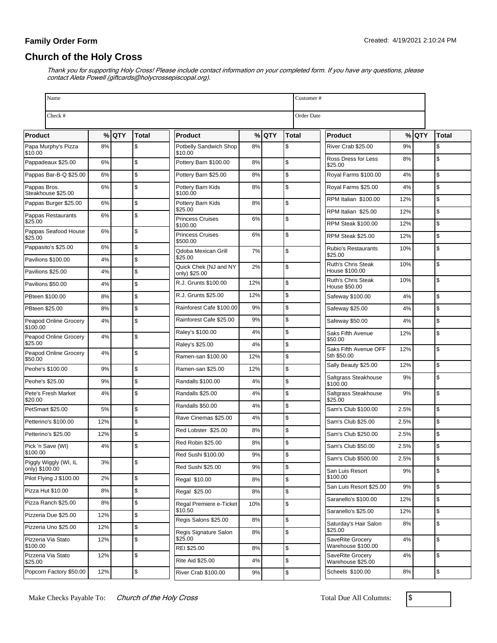# **Church of the Holy Cross**

|                 | Name                                   |          |       |          |                                       |     | Customer# |                                              |            |                                       |      |         |               |
|-----------------|----------------------------------------|----------|-------|----------|---------------------------------------|-----|-----------|----------------------------------------------|------------|---------------------------------------|------|---------|---------------|
|                 | Check #                                |          |       |          |                                       |     |           |                                              | Order Date |                                       |      |         |               |
| Product         |                                        |          | % QTY | Total    | <b>Product</b>                        |     | $%$ QTY   | Total                                        |            | <b>Product</b>                        |      | $%$ QTY | <b>Total</b>  |
| \$10.00         | Papa Murphy's Pizza                    | 8%       |       | \$       | Potbelly Sandwich Shop<br>\$10.00     | 8%  |           | \$                                           |            | River Crab \$25.00                    | 9%   |         | \$            |
|                 | Pappadeaux \$25.00                     | 6%       |       | \$       | Pottery Barn \$100.00                 | 8%  |           | \$                                           |            | Ross Dress for Less<br>\$25.00        | 8%   |         | \$            |
|                 | Pappas Bar-B-Q \$25.00                 | 6%       |       | \$       | Pottery Barn \$25.00                  | 8%  |           | \$                                           |            | Royal Farms \$100.00<br>4%            |      |         | $\mathsf{\$}$ |
| Pappas Bros.    | Steakhouse \$25.00                     | 6%       |       | \$       | Pottery Barn Kids<br>\$100.00         | 8%  |           | \$                                           |            | Royal Farms \$25.00                   | 4%   |         | $\mathsf{\$}$ |
|                 | Pappas Burger \$25.00                  | 6%       |       | \$       | Pottery Barn Kids                     | 8%  |           | \$                                           |            | RPM Italian \$100.00                  | 12%  |         | $\mathfrak s$ |
|                 | Pappas Restaurants                     | 6%       |       | \$       | \$25.00<br><b>Princess Cruises</b>    | 6%  |           | \$                                           |            | RPM Italian \$25.00                   | 12%  |         | $\mathsf{\$}$ |
| \$25.00         | Pappas Seafood House                   | 6%       |       | \$       | \$100.00                              |     |           |                                              |            | <b>RPM Steak \$100.00</b>             | 12%  |         | $\mathfrak s$ |
| \$25.00         |                                        |          |       |          | <b>Princess Cruises</b><br>\$500.00   | 6%  |           | \$                                           |            | <b>RPM Steak \$25.00</b>              | 12%  |         | $\mathsf{\$}$ |
|                 | Pappasito's \$25.00                    | 6%       |       | \$       | Qdoba Mexican Grill<br>\$25.00        | 7%  |           | \$                                           |            | <b>Rubio's Restaurants</b><br>\$25.00 | 10%  |         | \$            |
|                 | Pavilions \$100.00                     | 4%       |       | \$       | Quick Chek (NJ and NY                 | 2%  |           | \$                                           |            | Ruth's Chris Steak<br>House \$100.00  | 10%  |         | \$            |
|                 | Pavilions \$25.00<br>Pavilions \$50.00 | 4%       |       | \$       | only) \$25.00<br>R.J. Grunts \$100.00 | 12% |           | \$                                           |            | <b>Ruth's Chris Steak</b>             | 10%  |         | \$            |
|                 | PBteen \$100.00                        | 4%<br>8% |       | \$<br>\$ | R.J. Grunts \$25.00                   | 12% |           | \$                                           |            | House \$50.00<br>Safeway \$100.00     | 4%   |         | $\mathsf{\$}$ |
| PBteen \$25.00  |                                        | 8%       |       | \$       | Rainforest Cafe \$100.00              | 9%  |           | \$                                           |            | Safeway \$25.00                       | 4%   |         | $\mathsf{\$}$ |
|                 | Peapod Online Grocery                  | 4%       |       | \$       | Rainforest Cafe \$25.00               | 9%  |           | \$                                           |            | Safeway \$50.00                       | 4%   |         | $\mathsf{\$}$ |
| \$100.00        |                                        |          |       |          | Raley's \$100.00                      | 4%  |           | \$                                           |            | Saks Fifth Avenue                     | 12%  |         | \$            |
| \$25.00         | Peapod Online Grocery                  | 4%       |       | \$       | Raley's \$25.00                       | 4%  |           | \$                                           |            | \$50.00                               |      |         |               |
| \$50.00         | Peapod Online Grocery                  | 4%       |       | \$       | Ramen-san \$100.00                    | 12% |           | \$                                           |            | Saks Fifth Avenue OFF<br>5th \$50.00  | 12%  |         | \$            |
|                 | Peohe's \$100.00                       | 9%       |       | \$       | Ramen-san \$25.00                     | 12% |           | \$                                           |            | Sally Beauty \$25.00                  | 12%  |         | \$            |
| Peohe's \$25.00 |                                        | 9%       |       | \$       | Randalls \$100.00                     | 4%  |           | \$                                           |            | Saltgrass Steakhouse<br>\$100.00      | 9%   |         | \$            |
|                 | Pete's Fresh Market                    | 4%       |       | \$       | Randalls \$25.00                      | 4%  |           | \$                                           |            | Saltgrass Steakhouse                  | 9%   |         | \$            |
| \$20.00         | PetSmart \$25.00                       | 5%       |       | \$       | Randalls \$50.00                      | 4%  |           | \$                                           |            | \$25.00<br>Sam's Club \$100.00        | 2.5% |         | \$            |
|                 | Petterino's \$100.00                   | 12%      |       | \$       | Rave Cinemas \$25.00                  | 4%  |           | \$                                           |            | Sam's Club \$25.00                    | 2.5% |         | $\mathsf{\$}$ |
|                 | Petterino's \$25.00                    | 12%      |       | \$       | Red Lobster \$25.00                   | 8%  |           | \$                                           |            | Sam's Club \$250.00                   | 2.5% |         | \$            |
|                 | Pick 'n Save (WI)                      | 4%       |       | \$       | Red Robin \$25.00                     | 8%  |           | \$                                           |            | Sam's Club \$50.00                    | 2.5% |         | \$            |
| \$100.00        | Piggly Wiggly (WI, IL                  | 3%       |       | \$       | Red Sushi \$100.00                    | 9%  |           | ¢                                            |            | Sam's Club \$500.00                   | 2.5% |         | \$            |
| only) \$100.00  |                                        |          |       |          | Red Sushi \$25.00                     | 9%  |           | \$                                           |            | San Luis Resort                       | 9%   |         | $\mathsf{\$}$ |
|                 | Pilot Flying J \$100.00                | 2%       |       | \$       | Regal \$10.00                         | 8%  |           | \$                                           |            | \$100.00<br>San Luis Resort \$25.00   | 9%   |         | \$            |
|                 | Pizza Hut \$10.00                      | 8%       |       | \$       | Regal \$25.00                         | 8%  |           | \$                                           |            | Saranello's \$100.00                  | 12%  |         | \$            |
|                 | Pizza Ranch \$25.00                    | 8%       |       | \$       | Regal Premiere e-Ticket<br>\$10.50    | 10% |           | \$                                           |            | Saranello's \$25.00                   | 12%  |         | \$            |
|                 | Pizzeria Due \$25.00                   | 12%      |       | \$       | Regis Salons \$25.00                  | 8%  |           | \$                                           |            | Saturday's Hair Salon<br>8%           |      |         | $\mathsf{\$}$ |
|                 | Pizzeria Uno \$25.00                   | 12%      |       | \$       | Regis Signature Salon                 | 8%  |           | \$                                           | \$25.00    |                                       |      |         |               |
| \$100.00        | Pizzeria Via Stato                     | 12%      |       | \$       | \$25.00<br>REI \$25.00                | 8%  |           | SaveRite Grocery<br>Warehouse \$100.00<br>\$ |            | 4%                                    |      | \$      |               |
| \$25.00         | Pizzeria Via Stato                     | 12%      |       | \$       | <b>Rite Aid \$25.00</b>               | 4%  |           | \$                                           |            | SaveRite Grocerv<br>Warehouse \$25.00 | 4%   |         | $\mathfrak s$ |
|                 | Popcorn Factory \$50.00                | 12%      |       | \$       | River Crab \$100.00                   | 9%  |           | \$                                           |            | Scheels \$100.00                      | 8%   |         | \$            |

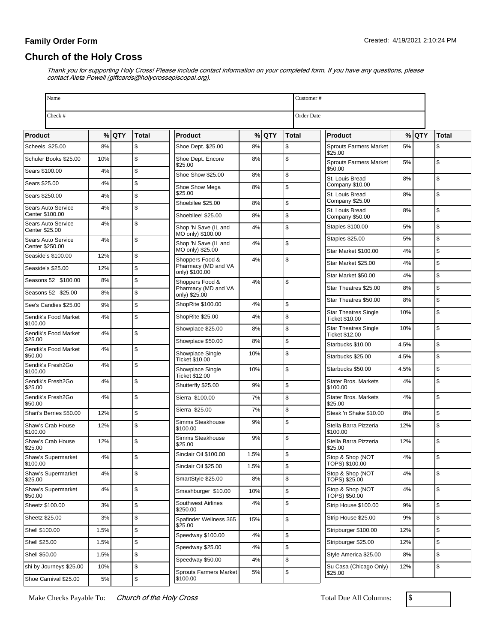# **Church of the Holy Cross**

Thank you for supporting Holy Cross! Please include contact information on your completed form. If you have any questions, please contact Aleta Powell (giftcards@holycrossepiscopal.org).

| Name                                  |      |         |       |                                            |          |         | Customer# |                                               |      |         |               |
|---------------------------------------|------|---------|-------|--------------------------------------------|----------|---------|-----------|-----------------------------------------------|------|---------|---------------|
| Check #                               |      |         |       |                                            |          |         |           | Order Date                                    |      |         |               |
| Product                               |      | $%$ QTY | Total | Product                                    |          | $%$ QTY | Total     | Product                                       |      | $%$ QTY | <b>Total</b>  |
| Scheels \$25.00                       | 8%   |         | \$    | Shoe Dept. \$25.00                         | 8%       |         | \$        | <b>Sprouts Farmers Market</b>                 | 5%   |         | \$            |
| Schuler Books \$25.00                 | 10%  |         | \$    | Shoe Dept. Encore<br>\$25.00               | 8%       |         | \$        | \$25.00<br><b>Sprouts Farmers Market</b>      | 5%   |         | \$            |
| Sears \$100.00                        | 4%   |         | \$    | Shoe Show \$25.00                          | 8%       |         | \$        | \$50.00                                       |      |         | \$            |
| Sears \$25.00                         | 4%   |         | \$    | Shoe Show Mega                             | 8%       |         | \$        | St. Louis Bread<br>Company \$10.00            | 8%   |         |               |
| Sears \$250.00                        | 4%   |         | \$    | \$25.00                                    |          |         |           | St. Louis Bread<br>Company \$25.00            | 8%   |         | $\mathsf{\$}$ |
| Sears Auto Service<br>Center \$100.00 | 4%   |         | \$    | Shoebilee \$25.00                          | 8%<br>8% |         | \$<br>\$  | St. Louis Bread                               | 8%   |         | \$            |
| Sears Auto Service                    | 4%   |         | \$    | Shoebilee! \$25.00<br>Shop 'N Save (IL and | 4%       |         | \$        | Company \$50.00<br>Staples \$100.00           | 5%   |         | $\mathsf{\$}$ |
| Center \$25.00<br>Sears Auto Service  | 4%   |         | \$    | MO only) \$100.00                          |          |         |           | Staples \$25.00                               | 5%   |         | $\mathsf{\$}$ |
| Center \$250.00                       |      |         |       | Shop 'N Save (IL and<br>MO only) \$25.00   | 4%       |         | \$        | Star Market \$100.00                          | 4%   |         | \$            |
| Seaside's \$100.00                    | 12%  |         | \$    | Shoppers Food &                            | 4%       |         | \$        | Star Market \$25.00                           | 4%   |         | $\mathfrak s$ |
| Seaside's \$25.00                     | 12%  |         | \$    | Pharmacy (MD and VA<br>only) \$100.00      |          |         |           | Star Market \$50.00                           | 4%   |         | \$            |
| Seasons 52 \$100.00                   | 8%   |         | \$    | Shoppers Food &<br>Pharmacy (MD and VA     | 4%       |         | \$        | Star Theatres \$25.00                         | 8%   |         | $\mathsf{\$}$ |
| Seasons 52 \$25.00                    | 8%   |         | \$    | only) \$25.00                              |          |         |           | Star Theatres \$50.00                         | 8%   |         | $\mathsf{\$}$ |
| See's Candies \$25.00                 | 9%   |         | \$    | ShopRite \$100.00                          | 4%       |         | \$        |                                               |      |         |               |
| Sendik's Food Market<br>\$100.00      | 4%   |         | \$    | ShopRite \$25.00                           | 4%       |         | \$        | <b>Star Theatres Single</b><br>Ticket \$10.00 | 10%  |         | \$            |
| Sendik's Food Market                  | 4%   |         | \$    | Showplace \$25.00                          | 8%       |         | \$        | <b>Star Theatres Single</b><br>Ticket \$12.00 | 10%  |         | \$            |
| \$25.00<br>Sendik's Food Market       | 4%   |         | \$    | Showplace \$50.00                          | 8%       |         | \$        | Starbucks \$10.00                             | 4.5% |         | $\mathsf{\$}$ |
| \$50.00                               |      |         |       | Showplace Single<br>Ticket \$10.00         | 10%      |         | \$        | Starbucks \$25.00                             | 4.5% |         | $\mathsf{\$}$ |
| Sendik's Fresh2Go<br>\$100.00         | 4%   |         | \$    | Showplace Single<br>Ticket \$12.00         | 10%      |         | \$        | Starbucks \$50.00                             | 4.5% |         | \$            |
| Sendik's Fresh2Go<br>\$25.00          | 4%   |         | \$    | Shutterfly \$25.00                         | 9%       |         | \$        | <b>Stater Bros. Markets</b><br>\$100.00       | 4%   |         | \$            |
| Sendik's Fresh2Go<br>\$50.00          | 4%   |         | \$    | Sierra \$100.00                            | 7%       |         | \$        | <b>Stater Bros. Markets</b><br>\$25.00        | 4%   |         | \$            |
| Shari's Berries \$50.00               | 12%  |         | \$    | Sierra \$25.00                             | 7%       |         | \$        | Steak 'n Shake \$10.00                        | 8%   |         | \$            |
| Shaw's Crab House<br>\$100.00         | 12%  |         | \$    | Simms Steakhouse<br>\$100.00               | 9%       |         | \$        | Stella Barra Pizzeria                         | 12%  |         | \$            |
| Shaw's Crab House                     | 12%  |         | \$    | Simms Steakhouse<br>\$25.00                | 9%       |         | \$        | \$100.00<br>Stella Barra Pizzeria<br>\$25.00  | 12%  |         | \$            |
| \$25.00<br>Shaw's Supermarket         | 4%   |         | ъ     | Sinclair Oil \$100.00                      | 1.5%     |         | S.        | Stop & Shop (NOT                              | 4%   |         | \$            |
| \$100.00                              |      |         |       | Sinclair Oil \$25.00                       | 1.5%     |         | \$        | TOPS) \$100.00                                |      |         |               |
| Shaw's Supermarket<br>\$25.00         | 4%   |         | \$    | SmartStyle \$25.00                         | 8%       |         | \$        | Stop & Shop (NOT<br>TOPS) \$25.00             | 4%   |         | \$            |
| Shaw's Supermarket<br>\$50.00         | 4%   |         | \$    | Smashburger \$10.00                        | 10%      |         | \$        | Stop & Shop (NOT<br>TOPS) \$50.00             | 4%   |         | $\mathfrak s$ |
| Sheetz \$100.00                       | 3%   |         | \$    | Southwest Airlines<br>\$250.00             | 4%       |         | \$        | Strip House \$100.00                          | 9%   |         | \$            |
| Sheetz \$25.00                        | 3%   |         | \$    | Spafinder Wellness 365                     | 15%      |         | \$        | Strip House \$25.00                           | 9%   |         | \$            |
| Shell \$100.00                        | 1.5% |         | \$    | \$25.00<br>Speedway \$100.00               | 4%       |         | \$        | Stripburger \$100.00                          | 12%  |         | \$            |
| Shell \$25.00                         | 1.5% |         | \$    | Speedway \$25.00                           | 4%       |         | \$        | Stripburger \$25.00                           | 12%  |         | \$            |
| Shell \$50.00                         | 1.5% |         | \$    | Speedway \$50.00                           | 4%       |         | \$        | Style America \$25.00                         | 8%   |         | \$            |
| shi by Journeys \$25.00               | 10%  |         | \$    |                                            |          |         |           | Su Casa (Chicago Only)                        | 12%  |         | \$            |
| Shoe Carnival \$25.00                 | 5%   |         | \$    | <b>Sprouts Farmers Market</b><br>\$100.00  | 5%       |         | \$        | \$25.00                                       |      |         |               |

Make Checks Payable To: Church of the Holy Cross Total Due All Columns: \$

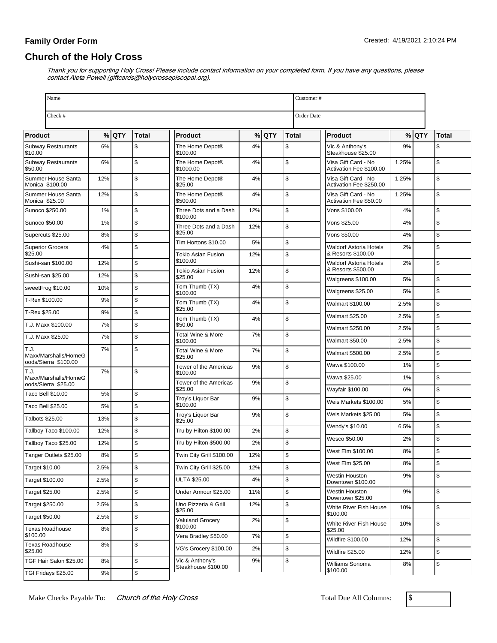# **Church of the Holy Cross**

| Name                                         |       |         |               |                                                  |           |         |              | Customer#                                      |       |         |       |
|----------------------------------------------|-------|---------|---------------|--------------------------------------------------|-----------|---------|--------------|------------------------------------------------|-------|---------|-------|
| Check #                                      |       |         |               |                                                  |           |         |              | Order Date                                     |       |         |       |
| <b>Product</b>                               |       | $%$ QTY | <b>Total</b>  | <b>Product</b>                                   |           | $%$ QTY | <b>Total</b> | <b>Product</b>                                 |       | $%$ QTY | Total |
| <b>Subway Restaurants</b><br>\$10.00         | 6%    |         | \$            | The Home Depot®<br>\$100.00                      | 4%        |         | \$           | Vic & Anthony's<br>Steakhouse \$25.00          | 9%    |         | \$    |
| <b>Subway Restaurants</b><br>\$50.00         | 6%    |         | \$            | The Home Depot®<br>\$1000.00                     | 4%        |         | \$           | Visa Gift Card - No<br>Activation Fee \$100.00 | 1.25% |         | \$    |
| Summer House Santa<br>Monica \$100.00        | 12%   |         | \$            | The Home Depot®<br>\$25.00                       | 4%        |         | \$           | Visa Gift Card - No<br>Activation Fee \$250.00 | 1.25% |         | \$    |
| Summer House Santa<br>Monica \$25.00         | 12%   |         | \$            | The Home Depot®<br>\$500.00                      | 4%        |         | \$           | Visa Gift Card - No<br>Activation Fee \$50.00  | 1.25% |         | \$    |
| Sunoco \$250.00                              | 1%    |         | $\sqrt{2}$    | Three Dots and a Dash<br>\$100.00                | 12%       |         | \$           | Vons \$100.00                                  | 4%    |         | \$    |
| Sunoco \$50.00                               | 1%    |         | $\mathsf{\$}$ | Three Dots and a Dash                            | 12%       |         | \$           | Vons \$25.00                                   | 4%    |         | \$    |
| Supercuts \$25.00                            | 8%    |         | \$            | \$25.00                                          |           |         |              | Vons \$50.00                                   | 4%    |         | \$    |
| <b>Superior Grocers</b><br>\$25.00           | 4%    |         | \$            | Tim Hortons \$10.00<br><b>Tokio Asian Fusion</b> | 5%<br>12% |         | \$<br>\$     | Waldorf Astoria Hotels<br>& Resorts \$100.00   | 2%    |         | \$    |
| Sushi-san \$100.00                           | 12%   |         | \$            | \$100.00                                         |           |         |              | <b>Waldorf Astoria Hotels</b>                  | 2%    |         | \$    |
| Sushi-san \$25.00                            | 12%   |         | $\mathsf{\$}$ | <b>Tokio Asian Fusion</b><br>\$25.00             | 12%       |         | \$           | & Resorts \$500.00<br>Walgreens \$100.00       | 5%    |         | \$    |
| sweetFrog \$10.00                            | 10%   |         | \$            | Tom Thumb (TX)                                   | 4%        |         | \$           | Walgreens \$25.00                              | 5%    |         | \$    |
| T-Rex \$100.00                               | 9%    |         | $\mathsf{\$}$ | \$100.00<br>Tom Thumb (TX)                       | 4%        |         | \$           | <b>Walmart \$100.00</b>                        |       |         | \$    |
| T-Rex \$25.00                                | 9%    |         | \$            | \$25.00                                          |           |         |              |                                                | 2.5%  |         |       |
| T.J. Maxx \$100.00                           | 7%    |         | \$            | Tom Thumb (TX)<br>\$50.00                        | 4%        |         | \$           | <b>Walmart \$25.00</b>                         | 2.5%  |         | \$    |
| T.J. Maxx \$25.00                            | 7%    |         | \$            | <b>Total Wine &amp; More</b>                     | 7%        |         | \$           | <b>Walmart \$250.00</b>                        | 2.5%  |         | \$    |
| T.J.                                         | 7%    |         | \$            | \$100.00<br><b>Total Wine &amp; More</b>         | 7%        |         | \$           | <b>Walmart \$50.00</b>                         | 2.5%  |         | \$    |
| Maxx/Marshalls/HomeG<br>oods/Sierra \$100.00 |       |         |               | \$25.00                                          |           |         |              | <b>Walmart \$500.00</b>                        | 2.5%  |         | \$    |
| T.J.                                         | 7%    |         | \$            | Tower of the Americas<br>\$100.00                | 9%        |         | \$           | Wawa \$100.00                                  | 1%    |         | \$    |
| Maxx/Marshalls/HomeG<br>oods/Sierra \$25.00  |       |         |               | Tower of the Americas                            | 9%        |         | \$           | Wawa \$25.00                                   | 1%    |         | \$    |
| Taco Bell \$10.00                            | 5%    |         | \$            | \$25.00                                          |           |         |              | Wayfair \$100.00                               | 6%    |         | \$    |
| <b>Taco Bell \$25.00</b>                     | 5%    |         | \$            | Troy's Liquor Bar<br>\$100.00                    | 9%        |         | \$           | Weis Markets \$100.00                          | 5%    |         | \$    |
| <b>Talbots \$25.00</b>                       | 13%   |         | \$            | Troy's Liquor Bar<br>\$25.00                     | 9%        |         | \$           | Weis Markets \$25.00                           | 5%    |         | \$    |
| Tallboy Taco \$100.00                        | 12%   |         | \$            | Tru by Hilton \$100.00                           | 2%        |         | \$           | Wendy's \$10.00                                | 6.5%  |         | \$    |
| Tallboy Taco \$25.00                         | 12%   |         | \$            | Tru by Hilton \$500.00                           | 2%        |         | \$           | Wesco \$50.00                                  | 2%    |         | \$    |
| Tanger Outlets \$25.00                       | $8\%$ |         | \$            | Twin City Grill \$100.00                         | 12%       |         | \$           | West Elm \$100.00                              | 8%    |         | \$    |
| <b>Target \$10.00</b>                        | 2.5%  |         | \$            | Twin City Grill \$25.00                          | 12%       |         | \$           | West Elm \$25.00                               | 8%    |         | \$    |
| Target \$100.00                              | 2.5%  |         | \$            | <b>ULTA \$25.00</b>                              | 4%        |         | \$           | Westin Houston<br>Downtown \$100.00            | 9%    |         | \$    |
| <b>Target \$25.00</b>                        | 2.5%  |         | \$            | Under Armour \$25.00                             | 11%       |         | \$           | Westin Houston                                 | 9%    |         | \$    |
| Target \$250.00                              | 2.5%  |         | \$            | Uno Pizzeria & Grill                             | 12%       |         | \$           | Downtown \$25.00                               |       |         |       |
| <b>Target \$50.00</b>                        | 2.5%  |         | \$            | \$25.00                                          |           |         |              | White River Fish House<br>\$100.00             | 10%   |         | \$    |
| Texas Roadhouse<br>\$100.00                  | 8%    |         | $\sqrt{2}$    | Valuland Grocery<br>\$100.00                     | 2%        |         | \$           | White River Fish House<br>\$25.00              | 10%   |         | \$    |
| <b>Texas Roadhouse</b>                       | 8%    |         | \$            | Vera Bradley \$50.00                             | 7%        |         | \$           | Wildfire \$100.00                              | 12%   |         | \$    |
| \$25.00                                      |       |         |               | VG's Grocery \$100.00                            | 2%        |         | \$           | Wildfire \$25.00                               | 12%   |         | \$    |
| TGF Hair Salon \$25.00                       | 8%    |         | \$            | Vic & Anthony's<br>Steakhouse \$100.00           | 9%        |         | \$           | Williams Sonoma                                | 8%    |         | \$    |
| TGI Fridays \$25.00                          | 9%    |         | \$            |                                                  |           |         |              | \$100.00                                       |       |         |       |